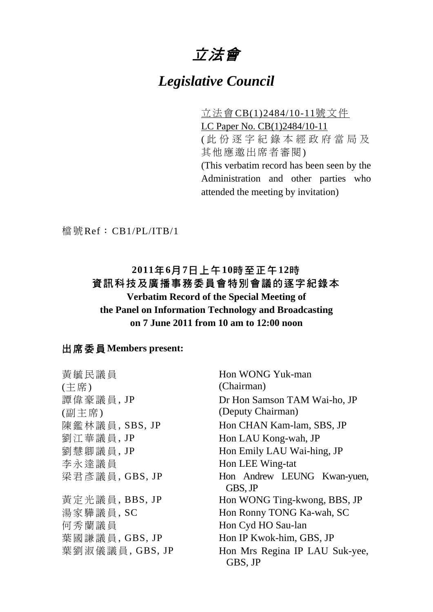# 立法會

# *Legislative Council*

立法會CB(1)2484/10-11號文件 LC Paper No. CB(1)2484/10-11 ( 此份逐字紀錄本經政府當局及 其他應邀出席者審閱) (This verbatim record has been seen by the Administration and other parties who attended the meeting by invitation)

檔號Ref: CB1/PL/ITB/1

## **2011**年**6**月**7**日上午**10**時至正午**12**時 資訊科技及廣播事務委員會特別會議的逐字紀錄本

### **Verbatim Record of the Special Meeting of the Panel on Information Technology and Broadcasting on 7 June 2011 from 10 am to 12:00 noon**

#### 出席委員**Members present:**

黃毓民議員 (主席) Hon WONG Yuk-man (Chairman) 譚偉豪議員, JP (副主席) Dr Hon Samson TAM Wai-ho, JP (Deputy Chairman) **陳鑑林議員, SBS, JP Hon CHAN Kam-lam, SBS, JP** 劉江華議員, JP Hon LAU Kong-wah, JP 劉慧卿議員, JP Hon Emily LAU Wai-hing, JP 李永達議員 Hon LEE Wing-tat 梁君彥議員, GBS, JP Hon Andrew LEUNG Kwan-yuen, GBS, JP 黃定光議員, BBS, JP Hon WONG Ting-kwong, BBS, JP 湯家驊議員, SC Hon Ronny TONG Ka-wah, SC 何秀蘭議員 Hon Cyd HO Sau-lan 葉國謙議員, GBS, JP Hon IP Kwok-him, GBS, JP 葉劉淑儀議員, GBS, JP Hon Mrs Regina IP LAU Suk-yee, GBS, JP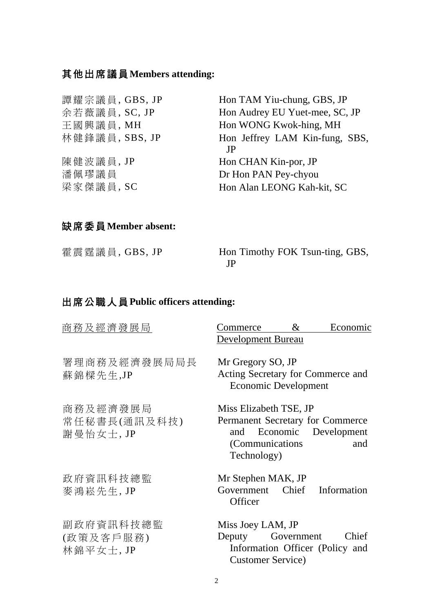## 其他出席議員**Members attending:**

| 譚耀宗議員, GBS, JP | Hon TAM Yiu-chung, GBS, JP     |
|----------------|--------------------------------|
| 余若薇議員, SC, JP  | Hon Audrey EU Yuet-mee, SC, JP |
| 王國興議員, MH      | Hon WONG Kwok-hing, MH         |
| 林健鋒議員, SBS, JP | Hon Jeffrey LAM Kin-fung, SBS, |
|                | .IP                            |
| 陳健波議員, JP      | Hon CHAN Kin-por, JP           |
| 潘佩璆議員          | Dr Hon PAN Pey-chyou           |
| 梁家傑議員, SC      | Hon Alan LEONG Kah-kit, SC     |
|                |                                |

### 缺席委員**Member absent:**

| 霍震霆議員, GBS, JP | Hon Timothy FOK Tsun-ting, GBS, |
|----------------|---------------------------------|
|                |                                 |

# 出席公職人員**Public officers attending:**

| 商務及經濟發展局                              | $\&$<br>Economic<br>Commerce<br><b>Development Bureau</b>                                                                           |
|---------------------------------------|-------------------------------------------------------------------------------------------------------------------------------------|
| 署理商務及經濟發展局局長<br>蘇錦樑先生,JP              | Mr Gregory SO, JP<br>Acting Secretary for Commerce and<br><b>Economic Development</b>                                               |
| 商務及經濟發展局<br>常任秘書長(通訊及科技)<br>謝曼怡女士, JP | Miss Elizabeth TSE, JP<br>Permanent Secretary for Commerce<br>Economic Development<br>and<br>(Communications)<br>and<br>Technology) |
| 政府資訊科技總監<br>麥鴻崧先生, JP                 | Mr Stephen MAK, JP<br>Government Chief Information<br>Officer                                                                       |
| 副政府資訊科技總監<br>(政策及客戶服務)<br>林錦平女士, JP   | Miss Joey LAM, JP<br>Chief<br>Deputy<br>Government<br>Information Officer (Policy and<br><b>Customer Service</b> )                  |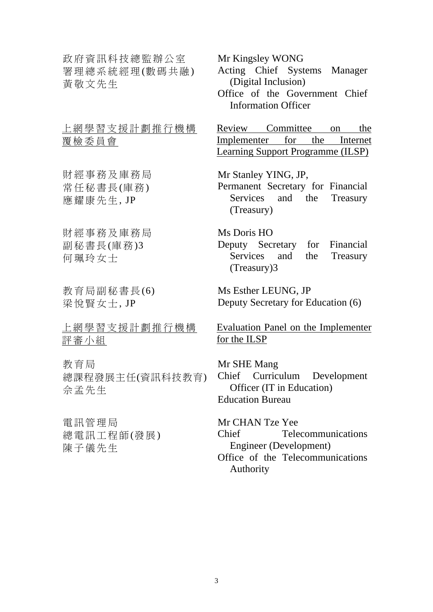政府資訊科技總監辦公室 署理總系統經理(數碼共融) 黃敬文先生

上網學習支援計劃推行機構 覆檢委員會

財經事務及庫務局 常任秘書長(庫務) 應耀康先生, JP

財經事務及庫務局 副秘書長(庫務)3 何珮玲女士

教育局副秘書長(6) 梁悅賢女士, JP

上網學習支援計劃推行機構 評審小組

教育局 總課程發展主任(資訊科技教育) 佘孟先生

電訊管理局 總電訊工程師(發展) 陳子儀先生

Mr Kingsley WONG

Acting Chief Systems Manager (Digital Inclusion)

Office of the Government Chief Information Officer

Review Committee on the Implementer for the Internet Learning Support Programme (ILSP)

Mr Stanley YING, JP,

Permanent Secretary for Financial Services and the Treasury (Treasury)

Ms Doris HO Deputy Secretary for Financial Services and the Treasury (Treasury)3

Ms Esther LEUNG, JP Deputy Secretary for Education (6)

Evaluation Panel on the Implementer for the ILSP

Mr SHE Mang Chief Curriculum Development Officer (IT in Education) Education Bureau

Mr CHAN Tze Yee Chief Telecommunications Engineer (Development) Office of the Telecommunications Authority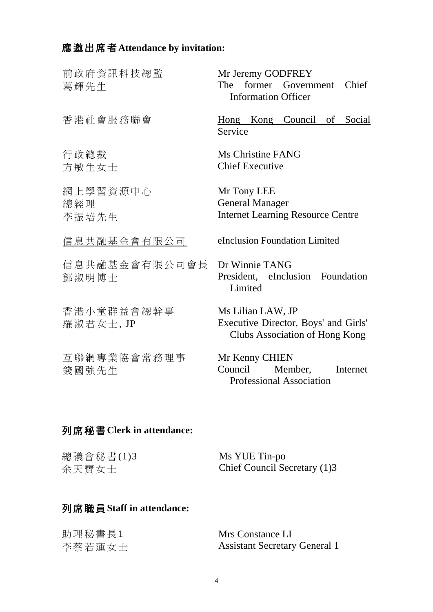# 應邀出席者**Attendance by invitation:**

| 前政府資訊科技總監<br>葛輝先生         | Mr Jeremy GODFREY<br>The former Government<br>Chief<br><b>Information Officer</b>           |
|---------------------------|---------------------------------------------------------------------------------------------|
| 香港社會服務聯會                  | Hong Kong Council of Social<br>Service                                                      |
| 行政總裁<br>方敏生女士             | <b>Ms Christine FANG</b><br><b>Chief Executive</b>                                          |
| 網上學習資源中心<br>總經理<br>李振培先生  | Mr Tony LEE<br><b>General Manager</b><br><b>Internet Learning Resource Centre</b>           |
| 信息共融基金會有限公司               | eInclusion Foundation Limited                                                               |
| 信息共融基金會有限公司會長<br>鄧淑明博士    | Dr Winnie TANG<br>President, eInclusion Foundation<br>Limited                               |
| 香港小童群益會總幹事<br>羅淑君女士, JP   | Ms Lilian LAW, JP<br>Executive Director, Boys' and Girls'<br>Clubs Association of Hong Kong |
| 互聯網專業協會常務理事<br>錢國強先生      | Mr Kenny CHIEN<br>Council<br>Member,<br>Internet<br><b>Professional Association</b>         |
| 列席秘書Clerk in attendance:  |                                                                                             |
| 總議會秘書(1)3<br>余天寶女士        | Ms YUE Tin-po<br>Chief Council Secretary (1)3                                               |
| 列席職員 Staff in attendance: |                                                                                             |

| 助理秘書長1 | Mrs Constance LI                     |
|--------|--------------------------------------|
| 李蔡若蓮女士 | <b>Assistant Secretary General 1</b> |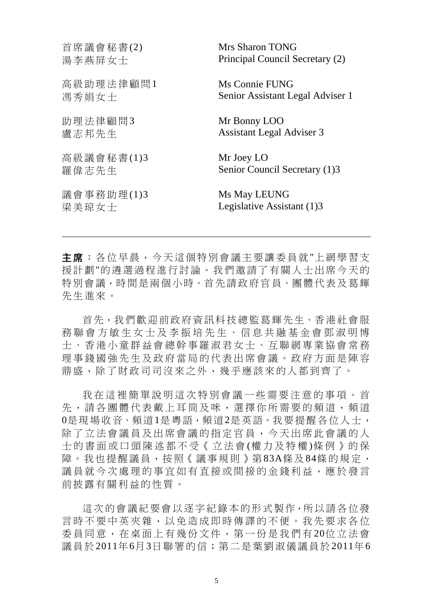| 首席議會秘書(2)  | Mrs Sharon TONG                  |
|------------|----------------------------------|
| 湯李燕屏女士     | Principal Council Secretary (2)  |
| 高級助理法律顧問1  | Ms Connie FUNG                   |
| 馮秀娟女士      | Senior Assistant Legal Adviser 1 |
| 助理法律顧問3    | Mr Bonny LOO                     |
| 盧志邦先生      | <b>Assistant Legal Adviser 3</b> |
| 高級議會秘書(1)3 | Mr Joey LO                       |
| 羅偉志先生      | Senior Council Secretary (1)3    |
| 議會事務助理(1)3 | Ms May LEUNG                     |
| 梁美琼女士      | Legislative Assistant (1)3       |

主席:各位早晨,今天這個特別會議主要讓委員就"上網學習支 援計劃"的遴選過程進行討論。我們邀請了有關人士出席今天的 特別會議,時間是兩個小時。首先請政府官員、團體代表及葛輝 先生進來。

 $\overline{a}$ 

首先,我們歡迎前政府資訊科技總監葛輝先生、香港社會服 務聯會方敏生女士及李振培先生、信息共融基金會鄧淑明博 士、香港小童群益會總幹事羅淑君女士、互聯網專業協會常務 理事錢國強先生及政府當局的代表出席會議。政府方面是陣容 鼎盛,除了財政司司沒來之外,幾乎應該來的人都到齊了。

我在這裡簡單說明這次特別會議一些需要注意的事項。首 先,請各團體代表戴上耳筒及咪,選擇你所需要的頻道,頻道 0是現場收音、頻道1是粵語,頻道2是英語。我要提醒各位人士, 除了立法會議員及出席會議的指定官員,今天出席此會議的人 士的書面或口頭陳述都不受《立法會 (權力及特權 )條例》的保 障。我也提醒議員,按照《議事規則》第83A條及84條的規定, 議員就今次處理的事宜如有直接或間接的金錢利益,應於發言 前披露有關利益的性質。

這次的會議紀要會以逐字紀錄本的形式製作,所以請各位發 言時不要中英夾雜,以免造成即時傳譯的不便。我先要求各位 委員同意,在桌面上有幾份文件,第一份是我們有 20位立法會 議員於2011年6月3日聯署的信;第二是葉劉淑儀議員於2011年6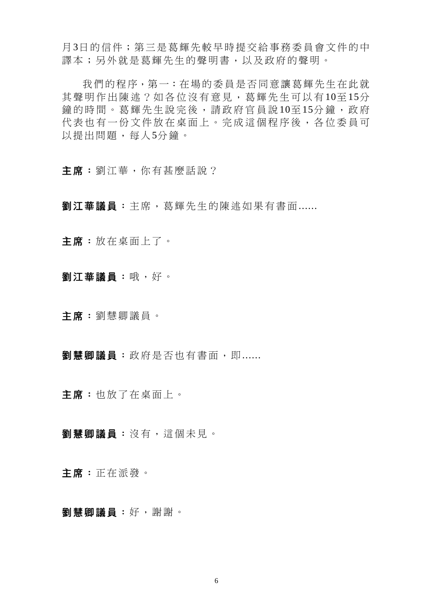月3日的信件;第三是葛輝先較早時提交給事務委員會文件的中 譯本;另外就是葛輝先生的聲明書,以及政府的聲明。

我們的程序,第一:在場的委員是否同意讓葛輝先生在此就 其聲明作出陳述?如各位沒有意見,葛輝先生可以有10至15分 鐘的時間。葛輝先生說完後,請政府官員說10至15分鐘,政府 代表也有一份文件放在桌面上。完成這個程序後,各位委員可 以提出問題,每人5分鐘。

主席:劉江華,你有甚麼話說?

劉江華議員:主席,葛輝先生的陳述如果有書面......

主席:放在桌面上了。

劉江華議員:哦,好。

主席:劉慧卿議員。

劉慧卿議員:政府是否也有書面,即......

主席:也放了在桌面上。

劉慧卿議員:沒有,這個未見。

主席:正在派發。

劉慧卿議員:好,謝謝。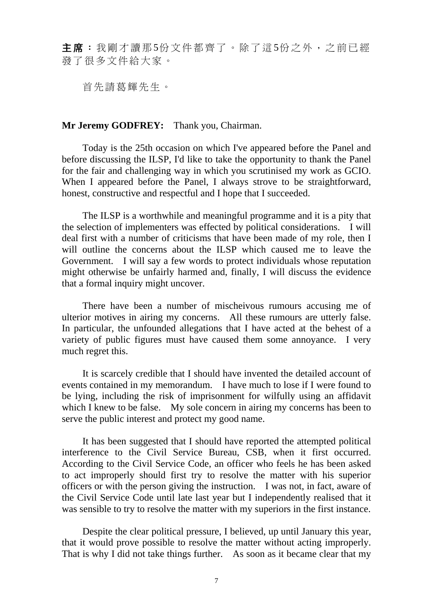主席:我剛才讀那5份文件都齊了。除了這5份之外,之前已經 發了很多文件給大家。

首先請葛輝先生。

#### **Mr Jeremy GODFREY:** Thank you, Chairman.

 Today is the 25th occasion on which I've appeared before the Panel and before discussing the ILSP, I'd like to take the opportunity to thank the Panel for the fair and challenging way in which you scrutinised my work as GCIO. When I appeared before the Panel, I always strove to be straightforward, honest, constructive and respectful and I hope that I succeeded.

 The ILSP is a worthwhile and meaningful programme and it is a pity that the selection of implementers was effected by political considerations. I will deal first with a number of criticisms that have been made of my role, then I will outline the concerns about the ILSP which caused me to leave the Government. I will say a few words to protect individuals whose reputation might otherwise be unfairly harmed and, finally, I will discuss the evidence that a formal inquiry might uncover.

 There have been a number of mischeivous rumours accusing me of ulterior motives in airing my concerns. All these rumours are utterly false. In particular, the unfounded allegations that I have acted at the behest of a variety of public figures must have caused them some annoyance. I very much regret this.

 It is scarcely credible that I should have invented the detailed account of events contained in my memorandum. I have much to lose if I were found to be lying, including the risk of imprisonment for wilfully using an affidavit which I knew to be false. My sole concern in airing my concerns has been to serve the public interest and protect my good name.

 It has been suggested that I should have reported the attempted political interference to the Civil Service Bureau, CSB, when it first occurred. According to the Civil Service Code, an officer who feels he has been asked to act improperly should first try to resolve the matter with his superior officers or with the person giving the instruction. I was not, in fact, aware of the Civil Service Code until late last year but I independently realised that it was sensible to try to resolve the matter with my superiors in the first instance.

 Despite the clear political pressure, I believed, up until January this year, that it would prove possible to resolve the matter without acting improperly. That is why I did not take things further. As soon as it became clear that my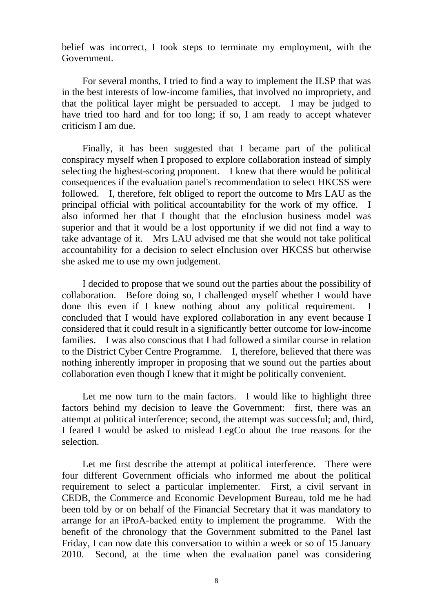belief was incorrect, I took steps to terminate my employment, with the Government.

 For several months, I tried to find a way to implement the ILSP that was in the best interests of low-income families, that involved no impropriety, and that the political layer might be persuaded to accept. I may be judged to have tried too hard and for too long; if so, I am ready to accept whatever criticism I am due.

 Finally, it has been suggested that I became part of the political conspiracy myself when I proposed to explore collaboration instead of simply selecting the highest-scoring proponent. I knew that there would be political consequences if the evaluation panel's recommendation to select HKCSS were followed. I, therefore, felt obliged to report the outcome to Mrs LAU as the principal official with political accountability for the work of my office. I also informed her that I thought that the eInclusion business model was superior and that it would be a lost opportunity if we did not find a way to take advantage of it. Mrs LAU advised me that she would not take political accountability for a decision to select eInclusion over HKCSS but otherwise she asked me to use my own judgement.

 I decided to propose that we sound out the parties about the possibility of collaboration. Before doing so, I challenged myself whether I would have done this even if I knew nothing about any political requirement. I concluded that I would have explored collaboration in any event because I considered that it could result in a significantly better outcome for low-income families. I was also conscious that I had followed a similar course in relation to the District Cyber Centre Programme. I, therefore, believed that there was nothing inherently improper in proposing that we sound out the parties about collaboration even though I knew that it might be politically convenient.

Let me now turn to the main factors. I would like to highlight three factors behind my decision to leave the Government: first, there was an attempt at political interference; second, the attempt was successful; and, third, I feared I would be asked to mislead LegCo about the true reasons for the selection.

 Let me first describe the attempt at political interference. There were four different Government officials who informed me about the political requirement to select a particular implementer. First, a civil servant in CEDB, the Commerce and Economic Development Bureau, told me he had been told by or on behalf of the Financial Secretary that it was mandatory to arrange for an iProA-backed entity to implement the programme. With the benefit of the chronology that the Government submitted to the Panel last Friday, I can now date this conversation to within a week or so of 15 January 2010. Second, at the time when the evaluation panel was considering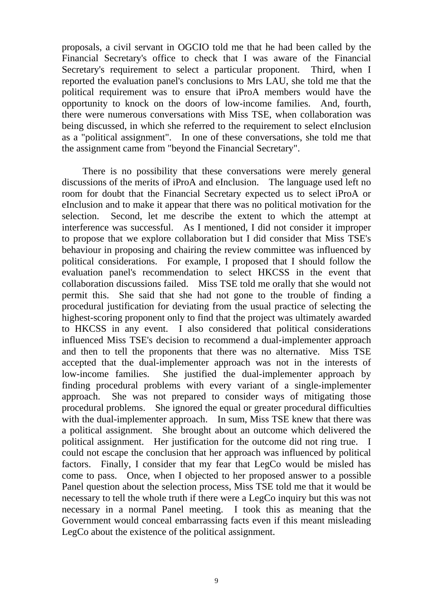proposals, a civil servant in OGCIO told me that he had been called by the Financial Secretary's office to check that I was aware of the Financial Secretary's requirement to select a particular proponent. Third, when I reported the evaluation panel's conclusions to Mrs LAU, she told me that the political requirement was to ensure that iProA members would have the opportunity to knock on the doors of low-income families. And, fourth, there were numerous conversations with Miss TSE, when collaboration was being discussed, in which she referred to the requirement to select eInclusion as a "political assignment". In one of these conversations, she told me that the assignment came from "beyond the Financial Secretary".

 There is no possibility that these conversations were merely general discussions of the merits of iProA and eInclusion. The language used left no room for doubt that the Financial Secretary expected us to select iProA or eInclusion and to make it appear that there was no political motivation for the selection. Second, let me describe the extent to which the attempt at interference was successful. As I mentioned, I did not consider it improper to propose that we explore collaboration but I did consider that Miss TSE's behaviour in proposing and chairing the review committee was influenced by political considerations. For example, I proposed that I should follow the evaluation panel's recommendation to select HKCSS in the event that collaboration discussions failed. Miss TSE told me orally that she would not permit this. She said that she had not gone to the trouble of finding a procedural justification for deviating from the usual practice of selecting the highest-scoring proponent only to find that the project was ultimately awarded to HKCSS in any event. I also considered that political considerations influenced Miss TSE's decision to recommend a dual-implementer approach and then to tell the proponents that there was no alternative. Miss TSE accepted that the dual-implementer approach was not in the interests of low-income families. She justified the dual-implementer approach by finding procedural problems with every variant of a single-implementer approach. She was not prepared to consider ways of mitigating those procedural problems. She ignored the equal or greater procedural difficulties with the dual-implementer approach. In sum, Miss TSE knew that there was a political assignment. She brought about an outcome which delivered the political assignment. Her justification for the outcome did not ring true. I could not escape the conclusion that her approach was influenced by political factors. Finally, I consider that my fear that LegCo would be misled has come to pass. Once, when I objected to her proposed answer to a possible Panel question about the selection process, Miss TSE told me that it would be necessary to tell the whole truth if there were a LegCo inquiry but this was not necessary in a normal Panel meeting. I took this as meaning that the Government would conceal embarrassing facts even if this meant misleading LegCo about the existence of the political assignment.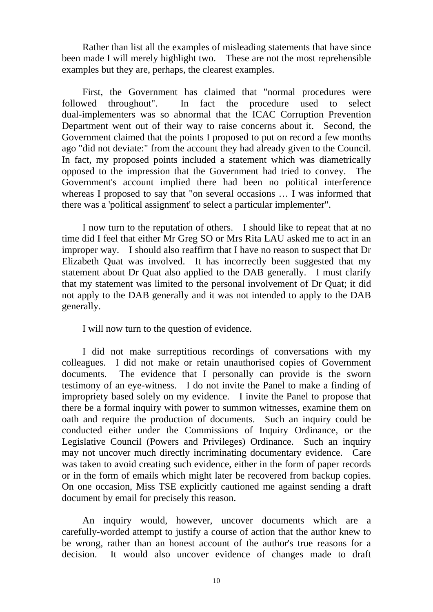Rather than list all the examples of misleading statements that have since been made I will merely highlight two. These are not the most reprehensible examples but they are, perhaps, the clearest examples.

 First, the Government has claimed that "normal procedures were followed throughout". In fact the procedure used to select dual-implementers was so abnormal that the ICAC Corruption Prevention Department went out of their way to raise concerns about it. Second, the Government claimed that the points I proposed to put on record a few months ago "did not deviate:" from the account they had already given to the Council. In fact, my proposed points included a statement which was diametrically opposed to the impression that the Government had tried to convey. The Government's account implied there had been no political interference whereas I proposed to say that "on several occasions … I was informed that there was a 'political assignment' to select a particular implementer".

 I now turn to the reputation of others. I should like to repeat that at no time did I feel that either Mr Greg SO or Mrs Rita LAU asked me to act in an improper way. I should also reaffirm that I have no reason to suspect that Dr Elizabeth Quat was involved. It has incorrectly been suggested that my statement about Dr Quat also applied to the DAB generally. I must clarify that my statement was limited to the personal involvement of Dr Quat; it did not apply to the DAB generally and it was not intended to apply to the DAB generally.

I will now turn to the question of evidence.

 I did not make surreptitious recordings of conversations with my colleagues. I did not make or retain unauthorised copies of Government documents. The evidence that I personally can provide is the sworn testimony of an eye-witness. I do not invite the Panel to make a finding of impropriety based solely on my evidence. I invite the Panel to propose that there be a formal inquiry with power to summon witnesses, examine them on oath and require the production of documents. Such an inquiry could be conducted either under the Commissions of Inquiry Ordinance, or the Legislative Council (Powers and Privileges) Ordinance. Such an inquiry may not uncover much directly incriminating documentary evidence. Care was taken to avoid creating such evidence, either in the form of paper records or in the form of emails which might later be recovered from backup copies. On one occasion, Miss TSE explicitly cautioned me against sending a draft document by email for precisely this reason.

 An inquiry would, however, uncover documents which are a carefully-worded attempt to justify a course of action that the author knew to be wrong, rather than an honest account of the author's true reasons for a decision. It would also uncover evidence of changes made to draft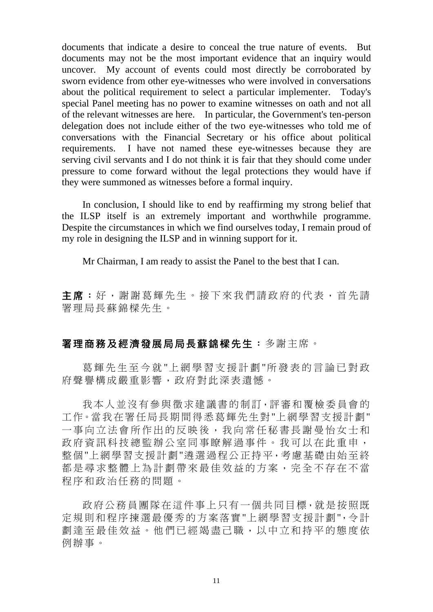documents that indicate a desire to conceal the true nature of events. But documents may not be the most important evidence that an inquiry would uncover. My account of events could most directly be corroborated by sworn evidence from other eye-witnesses who were involved in conversations about the political requirement to select a particular implementer. Today's special Panel meeting has no power to examine witnesses on oath and not all of the relevant witnesses are here. In particular, the Government's ten-person delegation does not include either of the two eye-witnesses who told me of conversations with the Financial Secretary or his office about political requirements. I have not named these eye-witnesses because they are serving civil servants and I do not think it is fair that they should come under pressure to come forward without the legal protections they would have if they were summoned as witnesses before a formal inquiry.

 In conclusion, I should like to end by reaffirming my strong belief that the ILSP itself is an extremely important and worthwhile programme. Despite the circumstances in which we find ourselves today, I remain proud of my role in designing the ILSP and in winning support for it.

Mr Chairman, I am ready to assist the Panel to the best that I can.

主席:好,謝謝葛輝先生。接下來我們請政府的代表,首先請 署理局長蘇錦樑先生。

#### 署理商務及經濟發展局局長蘇錦樑先生:多謝主席。

葛輝先生至今就 "上網學習支援計劃 "所發表的言論已對政 府聲譽構成嚴重影響,政府對此深表遺憾。

我本人並沒有參與徵求建議書的制訂,評審和覆檢委員會的 工作。當我在署任局長期間得悉葛輝先生對"上網學習支援計劃" 一事向立法會所作出的反映後,我向常任秘書長謝曼怡女士和 政府資訊科技總監辦公室同事瞭解過事件。我可以在此重申, 整個"上網學習支援計劃"遴選過程公正持平,考慮基礎由始至終 都是尋求整體上為計劃帶來最佳效益的方案,完全不存在不當 程序和政治任務的問題。

政府公務員團隊在這件事上只有一個共同目標,就是按照既 定規則和程序揀選最優秀的方案落實"上網學習支援計劃",令計 劃達至最佳效益。他們已經竭盡己職,以中立和持平的態度依 例辦事。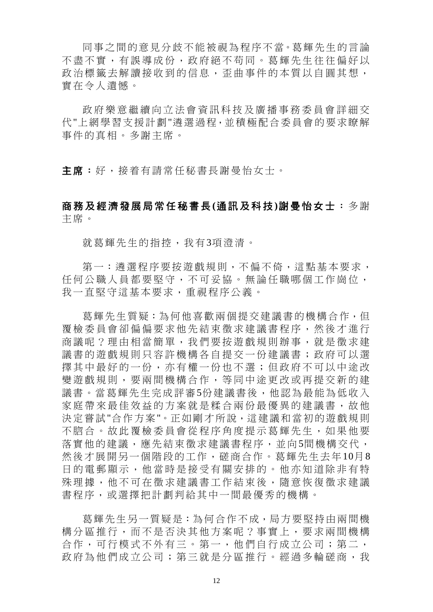同事之間的意見分歧不能被視為程序不當。葛輝先生的言論 不盡不實,有誤導成份,政府絕不苟同。葛輝先生往往偏好以 政治標籤去解讀接收到的信息, 歪曲事件的本質以自圓其想, 實在令人遺憾。

政府樂意繼續向立法會資訊科技及 廣播事務委員會詳細交 代"上網學習支援計劃"遴選過程,並積極配合委員會的要求瞭解 事件的真相。多謝主席。

主席:好,接着有請常任秘書長謝曼怡女士。

### 商務及經濟發展局常任秘書長 **(**通訊及科技 **)**謝曼怡女士: 多 謝 主席。

就葛輝先生的指控,我有3項澄清。

第一:潾選程序要按游戲規則,不偏不倚,這點基本要求, 任何公職人員都要堅守,不可妥協。無論任職哪個工作崗位, 我一直堅守這基本要求,重視程序公義。

葛輝先生質疑:為何他喜歡兩個提交建議書的機構合作,但 覆檢委員會卻偏偏要求他先結束徵求建議書程序,然後才進行 商議呢?理由相當簡單,我們要按游戲規則辦事,就是徵求建 議書的遊戲規則只容許機構各自提交一份建議書;政府可以選 擇其中最好的一份,亦有權一份也不選;但政府不可以中途改 變遊戲規則,要兩間機構合作,等同中途更改或再提交新的建 議書。當葛輝先生完成評審5份建議書後,他認為最能為低收入 家庭帶來最佳效益的方案就是糅合兩份最優異的建議書,故他 決定嘗試"合作方案"。正如剛才所說,這建議和當初的游戲規則 不脗合。故此覆檢委員會從程序角度提示葛輝先生,如果他要 落實他的建議,應先結束徵求建議書程序,並向5間機構交代, 然後才展開另一個階段的工作,磋商合作。葛輝先生去年10月8 日的電郵顯示,他當時是接受有關安排的。他亦知道除非有特 殊理據,他不可在徵求建議書工作結束後,隨意恢復徵求建議 書程序,或選擇把計劃判給其中一間最優秀的機構。

葛輝先生另一質疑是:為何合作不成,局方要堅持由兩間機 構分區推行,而不是否決其他方案呢?事實上,要求兩間機構 合作,可行模式不外有三。第一,他們自行成立公司;第二, 政府為他們成立公司;第三就是分區推行。經過多輪磋商,我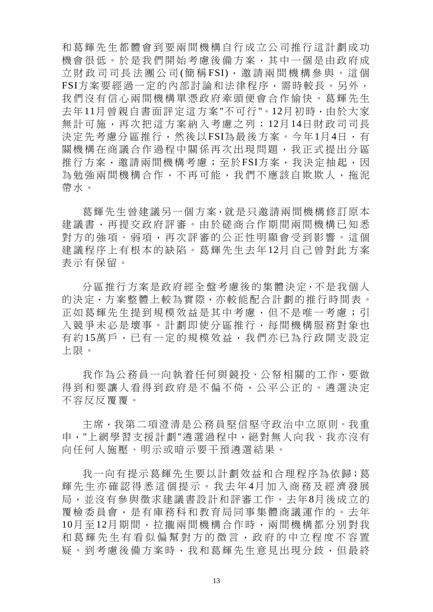和葛輝先生都體會到要兩間機構自行成立公司推行這計劃成功 機會很低。於是我們開始考慮後備方案,其中一個是由政府成 立財政司司長法團公司(簡稱FSI),邀請兩間機構參與。這個 FSI方案要經過一定的內部討論和法律程序,需時較長。另外, 我們沒有信心兩間機構單憑政府牽頭便會合作愉快。葛輝先生 去年11月曾親自書面評定這方案"不可行"。12月初時,由於大家 無計可施,再次把這方案納入考慮之列; 12月14日財政司司長 決定先考慮分區推行,然後以FSI為最後方案。今年1月4日,有 關機構在商議合作過程中關係再次出現問題,我正式提出分區 推行方案,邀請兩間機構考慮;至於FSI方案,我決定抽起,因 為勉強兩間機構合作,不再可能,我們不應該自欺欺人,拖泥 帶水。

葛輝先生曾建議另一個方案,就是只邀請兩間機構修訂原本 建議書,再提交政府評審。由於磋商合作期間兩間機構已知悉 對方的強項、弱項,再次評審的公正性明顯會受到影響。這個 建議程序上有根本的缺陷。葛輝先生去年 12月自己曾對此方案 表示有保留。

分區推行方案是政府經全盤考慮後的集體決定,不是我個人 的決定,方案整體上較為實際,亦較能配合計劃的推行時間表。 正如葛輝先生提到規模效益是其中考慮,但不是唯一考慮;引 入競爭未必是壞事。計劃即使分區推行,每間機構服務對象也 有 約 15萬戶,已有一定的規模效益,我們亦已為行政開支設定 上限。

我作為公務員一向執着任何與競投、公帑相關的工作,要做 得到和要讓人看得到政府是不偏不倚,公平公正的。潾選決定 不容反反覆覆。

主席,我第二項澄清是公務員堅信堅守政治中立原則。我重 申,"上網學習支援計劃"遴選過程中,絕對無人向我、我亦沒有 向任何人施壓、明示或暗示要干預遴選結果。

我一向有提示葛輝先生要以計劃效益和合理程序為依歸;葛 輝先生亦確認得悉這個提示。我去年4月加入商務及經濟發展 局,並沒有參與徵求建議書設計和評審工作。去年8月後成立的 覆檢委員會,是有庫務科和教育局同事集體商議運作的。去年 10月至12月期間,拉攏兩間機構合作時,兩間機構都分別對我 和葛輝先生有看似偏幫對方的微言,政府的中立程度不容置 疑。到考慮後備方案時,我和葛輝先生意見出現分歧,但最終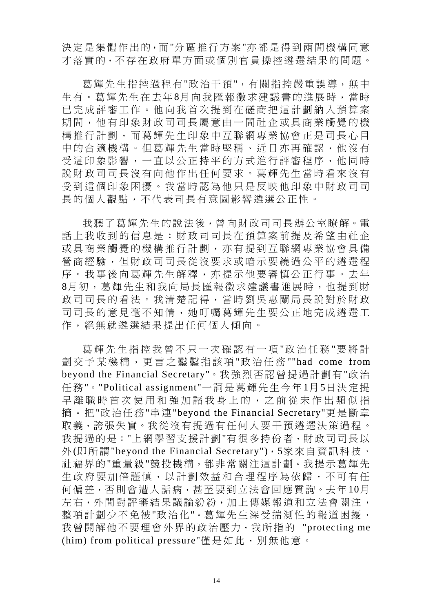決定是集體作出的,而"分區推行方案"亦都是得到兩間機構同意 才落實的,不存在政府單方面或個別官員操控遴選結果的問題。

葛輝先生指控過程有"政治干預",有關指控嚴重誤導,無中 生有。葛輝先生在去年8月向我匯報徵求建議書的進展時,當時 已完成評審工作。他向我首次提到在磋商把這計劃納入預算案 期間,他有印象財政司司長屬意由一間社企或具商業觸覺的機 構推行計劃,而葛輝先生印象中互聯網專業協會正是司長心目 中的合適機構。但葛輝先生當時堅稱、近日亦再確認,他沒有 受這印象影響,一直以公正持平的方式進行評審程序,他同時 說財政司司長沒有向他作出任何要求。葛輝先生當時看來沒有 受到這個印象困擾。我當時認為他只是反映他印象中財政司司 長的個人觀點,不代表司長有意圖影響遴選公正性。

我聽了葛輝先生的說法後,曾向財政司司長辦公室瞭解。電 話上我收到的信息是:財政司司長在預算案前提及希望由社企 或具商業觸覺的機構推行計劃,亦有提到互聯網專業協會具備 營商經驗,但財政司司長從沒要求或暗示要繞過公平的遴選程 序。我事後向葛輝先生解釋,亦提示他要審慎公正行事。去年 8月初,葛輝先生和我向局長匯報徵求建議書進展時,也提到財 政司司長的看法。我清楚記得,當時劉吳惠蘭局長說對於財政 司司長的意見毫不知情,她叮囑葛輝先生要公正地完成遴選工 作,絕無就遴選結果提出任何個人傾向。

葛輝先生指控我曾不只一次確認有一項 "政治任務 "要將計 劃交予某機構,更言之鑿鑿指該項 "政治任務 ""had come from beyond the Financial Secretary"。我強烈否認曾提過計劃有"政治 任務"。"Political assignment"一詞是葛輝先生今年1月5日決定提 早離職時首次使用和強加諸我身上的,之前從未作出類似指 摘。把"政治任務"串連"beyond the Financial Secretary"更是斷章 取義,誇張失實。我從沒有提過有任何人要干預遴選決策過程。 我提過的是:"上網學習支援計劃"有很多持份者,財政司司長以 外(即所謂"beyond the Financial Secretary"),5家來自資訊科技、 社福界的"重量級"競投機構,都非常關注這計劃。我提示葛輝先 生政府要加倍謹慎,以計劃效益和合理程序為依歸,不可有任 何偏差,否則會遭人詬病,甚至要到立法會回應質詢。去年10月 左右,外間對評審結果議論紛紛,加上傳媒報道和立法會關注, 整項計劃少不免被"政治化"。葛輝先生深受揣測性的報道困擾, 我曾開解他不要理會外界的政治壓力,我所指的 "protecting me (him) from political pressure"僅是如此,別無他意。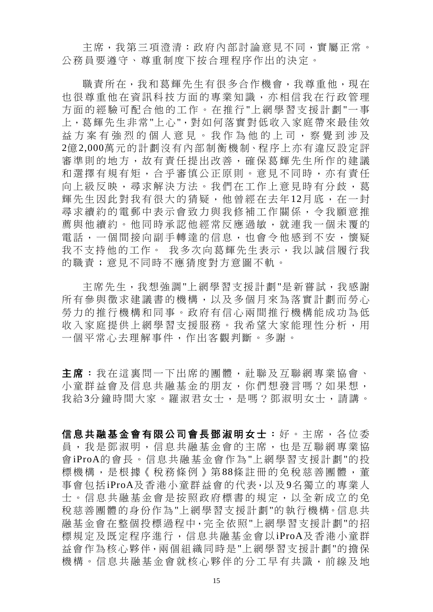主席,我第三項澄清:政府內部討論意見不同,實屬正常。 公務員要遵守、尊重制度下按合理程序作出的決定。

職責所在,我和葛輝先生有很多合作機會,我尊重他,現在 也很尊重他在資訊科技方面的專業知識,亦相信我在行政管理 方面的經驗可配合他的工作。在推行 "上網學習支援計劃 "一 事 上,葛輝先生非常"上心",對如何落實對低收入家庭帶來最佳效 益方案有強烈的個人意見。我作為 他的上司,察覺到涉及 2億2,000萬元的計劃沒有內部制衡機制、程序上亦有違反設定評 審準則的地方,故有責任提出改善,確保葛輝先生所作的建議 和選擇有規有矩,合乎審慎公正原則。意見不同時,亦有責任 向上級反映,尋求解決方法。我們在工作上意見時有分歧,葛 輝先生因此對我有很大的猜疑,他曾經在去年12月底,在一封 尋求續約的電郵中表示會致力與我修補工作關係,令我願意推 薦與他續約。他同時承認他經常反應過敏,就連我一個未覆的 電話,一個間接向副手轉達的信息,也會令他感到不安,懷疑 我不支持他的工作。 我多次向葛輝先生表示,我以誠信履行我 的職責;意見不同時不應猜度對方意圖不軌。

主席先生,我想強調"上網學習支援計劃"是新嘗試,我感謝 所有參與徵求建議書的機構,以及多個月來為落實計劃而勞心 勞力的推行機構和同事。政府有信心兩間推行機構能成功為低 收入家庭提供上網學習支援服務。我希望大家能理性分析,用 一個平常心去理解事件,作出客觀判斷。多謝。

主席:我在這裏問一下出席的團體,社聯及互聯網專業協會、 小童群益會及信息共融基金的朋友,你們想發言嗎?如果想, 我給3分鐘時間大家。羅淑君女士,是嗎?鄧淑明女士,請講。

信息共融基金會有限公司會長鄧淑明女士: 好。主席,各位委 員,我是鄧淑明,信息共融基金會的主席,也是互聯網專業協 會iProA的會長。信息共融基金會作為"上網學習支援計劃"的投 標機構,是根據《稅務條例》第88條註冊的免稅慈善團體,董 事會包括iProA及香港小童群益會的代表,以及9名獨立的專業人 士。信息共融基金會是按照政府標書的規定,以全新成立的免 稅慈善團體的身份作為"上網學習支援計劃"的執行機構。信息共 融基金會在整個投標過程中,完全依照"上網學習支援計劃"的招 標規定及既定程序進行,信息共融基金會以iProA及香港小童群 益會作為核心夥伴,兩個組織同時是"上網學習支援計劃"的擔保 機構。信息共融基金會就核心夥伴的分工早有共識,前線及地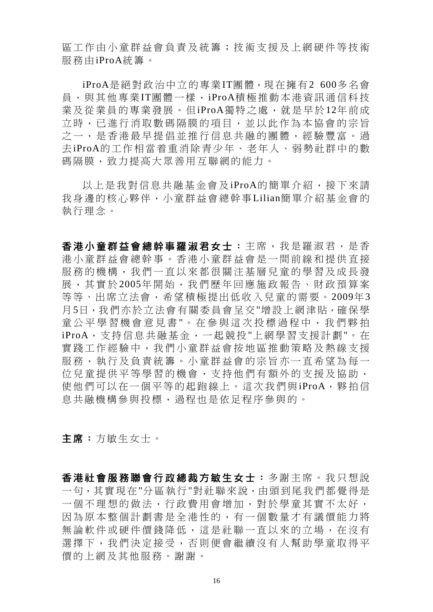區工作由小童群益會負責及統籌;技術支援及上網硬件等技術 服務由iProA統籌。

 iProA是絕對政治中立的專業IT團體,現在擁有2 600多名會 員,與其他專業IT團體一樣,iProA積極推動本港資訊通信科技 業及從業員的專業發展。但iProA獨特之處,就是早於12年前成 立時,已進行消取數碼隔膜的項目,並以此作為本協會的宗旨 之一,是香港最早提倡並推行信息共融的團體,經驗豐富。過 去iProA的工作相當着重消除青少年、老年人、弱勢社群中的數 碼隔膜,致力提高大眾善用互聯網的能力。

以上是我對信息共融基金會及iProA的簡單介紹,接下來請 我身邊的核心夥伴,小童群益會總幹事Lilian簡單介紹基金會的 執行理念。

香港小童群益會總幹事羅淑君女士: 主席,我是羅淑君,是香 港小童群益會總幹事。香港小童群益會是一間前線和提供直接 服務的機構,我們一直以來都很關注基層兒童的學習及成長發 展,其實於 2005年開始,我們歷年回應施政報告、財政預算案 等等、出席立法會,希望積極提出低收入兒童的需要。2009年3 月5日,我們亦於立法會有關委員會呈交"增設上網津貼,確保學 童公平學習機會意見書"。在參與這次投標過程中,我們夥拍 iProA,支持信息共融基金,一起競投"上網學習支援計劃"。在 實踐工作經驗中,我們小童群益會按地區推動策略及熱線支援 服務,執行及負責統籌。小童群益會的宗旨亦一直希望為每一 位兒童提供平等學習的機會,支持他們有額外的支援及協助, 使他們可以在一個平等的起跑線上。這次我們與iProA,夥拍信 息共融機構參與投標,過程也是依足程序參與的。

主席:方敏生女士。

香港社會服務聯會行政總裁方敏生女士:多謝主席。我只想說 一句,其實現在"分區執行"對社聯來說,由頭到尾我們都覺得是 一個不理想的做法,行政費用會增加,對於學童其實不太好, 因為原本整個計劃書是全港性的,有一個數量才有議價能力將 無論軟件或硬件價錢降低,這是社聯一直以來的立場,在沒有 選擇下,我們決定接受,否則便會繼續沒有人幫助學童取得平 價的上網及其他服務。謝謝。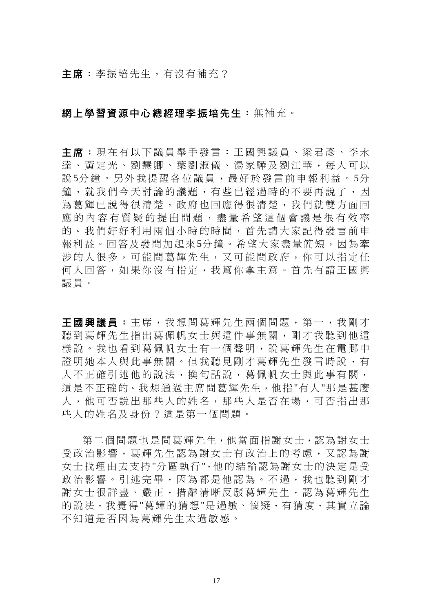主席:李振培先生,有沒有補充?

#### 網上學習資源中心總經理李振培先生:無補充。

主席:現在有以下議員舉手發言:王國興議員、梁君彥、李永 達、黃定光、劉慧卿、葉劉淑儀、湯家驊及劉江華,每人可以 說 5分鐘。另外我提醒各位議員,最好於發言前申報利益。 5分 鐘,就我們今天討論的議題,有些已經過時的不要再說了,因 為葛輝已說得很清楚,政府也回應得很清楚,我們就雙方面回 應的內容有質疑的提出問題,盡量希望這個會議是很有效率 的。我們好好利用兩個小時的時間,首先請大家記得發言前申 報利益。回答及發問加起來5分鐘。希望大家盡量簡短,因為牽 涉的人很多,可能問葛輝先生,又可能問政府,你可以指定任 何人回答,如果你沒有指定,我幫你拿主意。首先有請王國興 議員。

王國興議員:主席,我想問葛輝先生兩個問題,第一,我剛才 聽到葛輝先生指出葛佩帆女士與這件事無關,剛才我聽到他這 樣說。我也看到葛佩帆女十有一個聲明,說葛輝先生在電郵中 證明她本人與此事無關。但我聽見剛才葛輝先生發言時說,有 人不正確引述他的說法,換句話說,葛佩帆女士與此事有關, 這是不正確的。我想通過主席問葛輝先生,他指"有人"那是甚麼 人,他可否說出那些人的姓名,那些人是否在場,可否指出那 些人的姓名及身份?這是第一個問題。

第二個問題也是問葛輝先生,他當面指謝女士,認為謝女士 受政治影響,葛輝先生認為謝女士有政治上的考慮,又認為謝 女士找理由去支持"分區執行",他的結論認為謝女士的決定是受 政治影響。引述完畢,因為都是他認為。不過,我也聽到剛才 謝女士很詳盡、嚴正,措辭清晰反駁葛輝先生,認為葛輝先生 的說法,我覺得"葛輝的猜想"是過敏、懷疑,有猜度,其實立論 不知道是否因為葛輝先生太過敏感。

17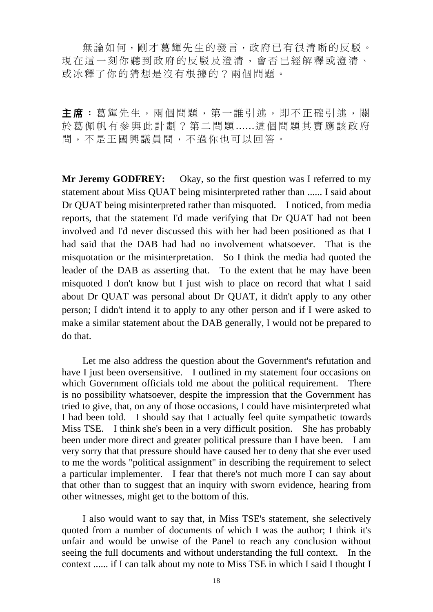無論如何,剛才葛輝先生的發言,政府已有很清晰的反駁。 現在這一刻你聽到政府的反駁及澄清,會否已經解釋或澄清、 或冰釋了你的猜想是沒有根據的?兩個問題。

主席:葛輝先生,兩個問題,第一誰引述,即不正確引述,關 於葛佩帆有參與此計劃?第二問題 ......這個問題其實應該政府 問,不是王國興議員問,不過你也可以回答。

**Mr Jeremy GODFREY:** Okay, so the first question was I referred to my statement about Miss QUAT being misinterpreted rather than ...... I said about Dr QUAT being misinterpreted rather than misquoted. I noticed, from media reports, that the statement I'd made verifying that Dr QUAT had not been involved and I'd never discussed this with her had been positioned as that I had said that the DAB had had no involvement whatsoever. That is the misquotation or the misinterpretation. So I think the media had quoted the leader of the DAB as asserting that. To the extent that he may have been misquoted I don't know but I just wish to place on record that what I said about Dr QUAT was personal about Dr QUAT, it didn't apply to any other person; I didn't intend it to apply to any other person and if I were asked to make a similar statement about the DAB generally, I would not be prepared to do that.

 Let me also address the question about the Government's refutation and have I just been oversensitive. I outlined in my statement four occasions on which Government officials told me about the political requirement. There is no possibility whatsoever, despite the impression that the Government has tried to give, that, on any of those occasions, I could have misinterpreted what I had been told. I should say that I actually feel quite sympathetic towards Miss TSE. I think she's been in a very difficult position. She has probably been under more direct and greater political pressure than I have been. I am very sorry that that pressure should have caused her to deny that she ever used to me the words "political assignment" in describing the requirement to select a particular implementer. I fear that there's not much more I can say about that other than to suggest that an inquiry with sworn evidence, hearing from other witnesses, might get to the bottom of this.

 I also would want to say that, in Miss TSE's statement, she selectively quoted from a number of documents of which I was the author; I think it's unfair and would be unwise of the Panel to reach any conclusion without seeing the full documents and without understanding the full context. In the context ...... if I can talk about my note to Miss TSE in which I said I thought I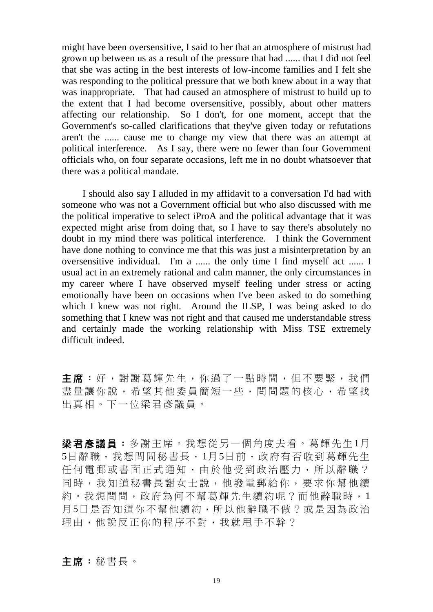might have been oversensitive, I said to her that an atmosphere of mistrust had grown up between us as a result of the pressure that had ...... that I did not feel that she was acting in the best interests of low-income families and I felt she was responding to the political pressure that we both knew about in a way that was inappropriate. That had caused an atmosphere of mistrust to build up to the extent that I had become oversensitive, possibly, about other matters affecting our relationship. So I don't, for one moment, accept that the Government's so-called clarifications that they've given today or refutations aren't the ...... cause me to change my view that there was an attempt at political interference. As I say, there were no fewer than four Government officials who, on four separate occasions, left me in no doubt whatsoever that there was a political mandate.

 I should also say I alluded in my affidavit to a conversation I'd had with someone who was not a Government official but who also discussed with me the political imperative to select iProA and the political advantage that it was expected might arise from doing that, so I have to say there's absolutely no doubt in my mind there was political interference. I think the Government have done nothing to convince me that this was just a misinterpretation by an oversensitive individual. I'm a ...... the only time I find myself act ...... I usual act in an extremely rational and calm manner, the only circumstances in my career where I have observed myself feeling under stress or acting emotionally have been on occasions when I've been asked to do something which I knew was not right. Around the ILSP, I was being asked to do something that I knew was not right and that caused me understandable stress and certainly made the working relationship with Miss TSE extremely difficult indeed.

主席:好,謝謝葛輝先生,你過了一點時間,但不要緊,我們 盡量讓你說,希望其他委員簡短一些,問問題的核心,希望找 出真相。下一位梁君彥議員。

梁君彥議員:多謝主席。我想從另一個角度去看。葛輝先生1月 5日辭職,我想問問秘書長,1月5日前,政府有否收到葛輝先生 任何電郵或書面正式通知,由於他受到政治壓力,所以辭職? 同時,我知道秘書長謝女士說,他發電郵給你,要求你幫他續 約。我想問問,政府為何不幫葛輝先生續約呢?而他辭職時,1 月5日是否知道你不幫他續約,所以他辭職不做?或是因為政治 理由,他說反正你的程序不對,我就甩手不幹?

#### 主席:秘書長。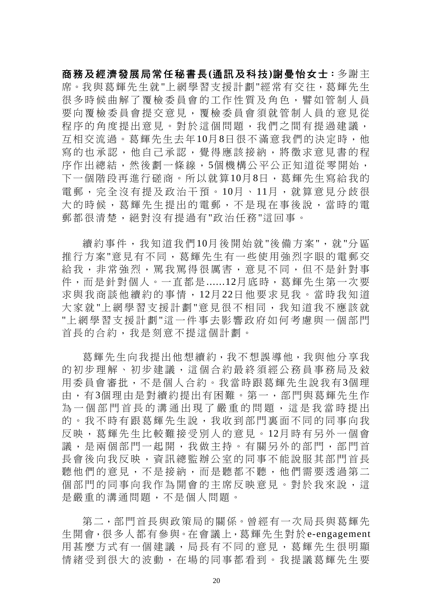商務及經濟發展局常任秘書長**(**通訊及科技**)**謝曼怡女士:多謝主 席。我與葛輝先生就"上網學習支援計劃"經常有交往,葛輝先生 很多時候曲解了覆檢委員會的工作性質及角色,譬如管制人員 要向覆檢委員會提交意見,覆檢委員會須就管制人員的意見從 程序的角度提出意見。對於這個問題,我們之間有提過建議, 互相交流過。葛輝先生去年10月8日很不滿意我們的決定時,他 寫的也承認,他自己承認,覺得應該接納,將徵求意見書的程 序作出總結,然後劃一條線,5個機構公平公正知道從零開始, 下一個階段再進行磋商。所以就算10月8日,葛輝先生寫給我的 電郵,完全沒有提及政治干預。10月、11月,就算意見分歧很 大的時候,葛輝先生提出的電郵,不是現在事後說,當時的電 郵都很清楚,絕對沒有提過有"政治任務"這回事。

續約事件,我知道我們10月後開始就 "後備方案",就 "分區 推行方案"意見有不同,葛輝先生有一些使用強烈字眼的電郵交 給我,非常強烈,罵我罵得很厲害,意見不同,但不是針對事 件,而是針對個人。一直都是......12月底時,葛輝先生第一次要 求與我商談他續約的事情, 12月 22日他要求見我。當時我知道 大家就 "上網學習支援計劃 "意見很不相同,我知道我不應該就 "上網學習支援計劃 "這一件事去影響政府如何考慮與一個部門 首長的合約,我是刻意不提這個計劃。

葛輝先生向我提出他想續約,我不想誤導他,我與他分享我 的初步理解、初步建議,這個合約最終須經公務員事務局及敍 用委員會審批,不是個人合約。我當時跟葛輝先生說我有3個理 由,有3個理由是對續約提出有困難。第一,部門與葛輝先生作 為一個部門首長的溝通出現了嚴重的問題,這是我當時提出 的。我不時有跟葛輝先生說,我收到部門裏面不同的同事向我 反映,葛輝先生比較難接受別人的意見。 12月時有另外一個會 議,是兩個部門一起開,我做主持。有關另外的部門,部門首 長會後向我反映,資訊總監辦公室的同事不能說服其部門首長 聽他們的意見,不是接納,而是聽都不聽,他們需要透過第二 個部門的同事向我作為開會的主席反映意見。對於我來說,這 是嚴重的溝通問題,不是個人問題。

第二,部門首長與政策局的關係。曾經有一次局長與葛輝先 生開會,很多人都有參與。在會議上,葛輝先生對於e-engagement 用甚麼方式有一個建議,局長有不同的意見,葛輝先生很明顯 情緒受到很大的波動,在場的同事都看到。我提議葛輝先生要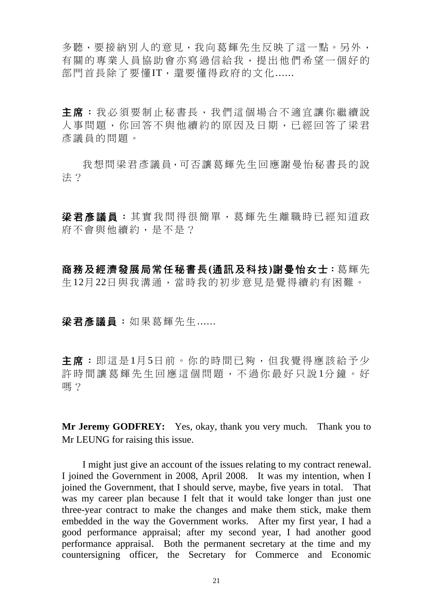多聽,要接納別人的意見,我向葛輝先生反映了這一點。另外, 有關的專業人員協助會亦寫過信給我,提出他們希望一個好的 部門首長除了要懂IT,還要懂得政府的文化......

主席:我必須要制止秘書長,我們這個場合不適宜讓你繼續說 人事問題,你回答不與他續約的原因及日期,已經回答了梁君 彥議員的問題。

我想問梁君彥議員,可否讓葛輝先生回應謝曼怡秘書長的說 法?

梁君彥議員:其實我問得很簡單,葛輝先生離職時已經知道政 府不會與他續約,是不是?

商務及經濟發展局常任秘書長**(**通訊及科技**)**謝曼怡女士:葛輝先 生12月22日與我溝通,當時我的初步意見是覺得續約有困難。

#### 梁君彥議員:如果葛輝先生......

主席:即這是1月5日前。你的時間已夠,但我覺得應該給予少 許時間讓葛輝先生回應這個問題,不過你最好只說1分鐘。好 嗎?

**Mr Jeremy GODFREY:** Yes, okay, thank you very much. Thank you to Mr LEUNG for raising this issue.

 I might just give an account of the issues relating to my contract renewal. I joined the Government in 2008, April 2008. It was my intention, when I joined the Government, that I should serve, maybe, five years in total. That was my career plan because I felt that it would take longer than just one three-year contract to make the changes and make them stick, make them embedded in the way the Government works. After my first year, I had a good performance appraisal; after my second year, I had another good performance appraisal. Both the permanent secretary at the time and my countersigning officer, the Secretary for Commerce and Economic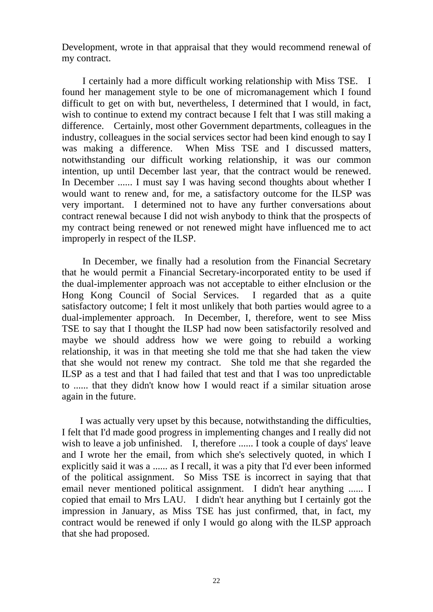Development, wrote in that appraisal that they would recommend renewal of my contract.

 I certainly had a more difficult working relationship with Miss TSE. I found her management style to be one of micromanagement which I found difficult to get on with but, nevertheless, I determined that I would, in fact, wish to continue to extend my contract because I felt that I was still making a difference. Certainly, most other Government departments, colleagues in the industry, colleagues in the social services sector had been kind enough to say I was making a difference. When Miss TSE and I discussed matters, notwithstanding our difficult working relationship, it was our common intention, up until December last year, that the contract would be renewed. In December ...... I must say I was having second thoughts about whether I would want to renew and, for me, a satisfactory outcome for the ILSP was very important. I determined not to have any further conversations about contract renewal because I did not wish anybody to think that the prospects of my contract being renewed or not renewed might have influenced me to act improperly in respect of the ILSP.

 In December, we finally had a resolution from the Financial Secretary that he would permit a Financial Secretary-incorporated entity to be used if the dual-implementer approach was not acceptable to either eInclusion or the Hong Kong Council of Social Services. I regarded that as a quite satisfactory outcome; I felt it most unlikely that both parties would agree to a dual-implementer approach. In December, I, therefore, went to see Miss TSE to say that I thought the ILSP had now been satisfactorily resolved and maybe we should address how we were going to rebuild a working relationship, it was in that meeting she told me that she had taken the view that she would not renew my contract. She told me that she regarded the ILSP as a test and that I had failed that test and that I was too unpredictable to ...... that they didn't know how I would react if a similar situation arose again in the future.

 I was actually very upset by this because, notwithstanding the difficulties, I felt that I'd made good progress in implementing changes and I really did not wish to leave a job unfinished. I, therefore ...... I took a couple of days' leave and I wrote her the email, from which she's selectively quoted, in which I explicitly said it was a ...... as I recall, it was a pity that I'd ever been informed of the political assignment. So Miss TSE is incorrect in saying that that email never mentioned political assignment. I didn't hear anything ...... I copied that email to Mrs LAU. I didn't hear anything but I certainly got the impression in January, as Miss TSE has just confirmed, that, in fact, my contract would be renewed if only I would go along with the ILSP approach that she had proposed.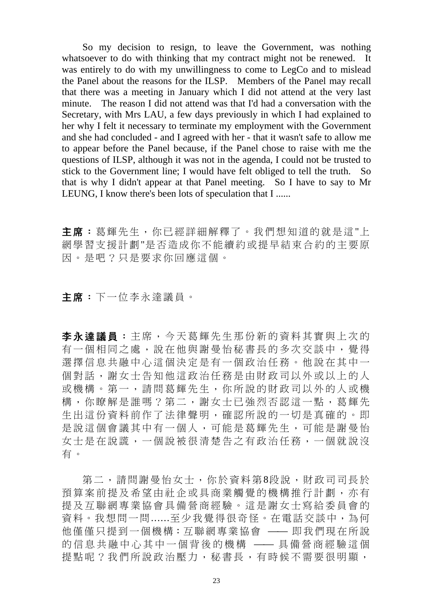So my decision to resign, to leave the Government, was nothing whatsoever to do with thinking that my contract might not be renewed. It was entirely to do with my unwillingness to come to LegCo and to mislead the Panel about the reasons for the ILSP. Members of the Panel may recall that there was a meeting in January which I did not attend at the very last minute. The reason I did not attend was that I'd had a conversation with the Secretary, with Mrs LAU, a few days previously in which I had explained to her why I felt it necessary to terminate my employment with the Government and she had concluded - and I agreed with her - that it wasn't safe to allow me to appear before the Panel because, if the Panel chose to raise with me the questions of ILSP, although it was not in the agenda, I could not be trusted to stick to the Government line; I would have felt obliged to tell the truth. So that is why I didn't appear at that Panel meeting. So I have to say to Mr LEUNG, I know there's been lots of speculation that I ......

主席:葛輝先生,你已經詳細解釋了。我們想知道的就是這"上 網學習支援計劃"是否造成你不能續約或提早結束合約的主要原 因。是吧?只是要求你回應這個。

#### 主席:下一位李永達議員。

李永達議員:主席,今天葛輝先生那份新的資料其實與上次的 有一個相同之處,說在他與謝曼怡秘書長的多次交談中,覺得 選擇信息共融中心這個決定是有一個政治任務。他說在其中一 個對話,謝女士告知他這政治任務是由財政司以外或以上的人 或機構。第一,請問葛輝先生,你所說的財政司以外的人或機 構,你瞭解是誰嗎?第二,謝女士已強烈否認這一點,葛輝先 生出這份資料前作了法律聲明,確認所說的一切是真確的。即 是說這個會議其中有一個人,可能是葛輝先生,可能是謝曼怡 女士是在說謊,一個說被很清楚告之有政治任務,一個就說沒 有。

第二,請問謝曼怡女士,你於資料第8段說,財政司司長於 預算案前提及希望由社企或具商業觸覺的機構推行計劃,亦有 提及互聯網專業協會具備營商經驗。這是謝女士寫給委員會的 資料。我想問一問......至少我覺得很奇怪。在電話交談中,為何 他僅僅只提到一個機構:互聯網專業協會 —— 即我們現在所說 的信息共融中心其中一個背後的機構 —— 具備營商經驗這個 提點呢?我們所說政治壓力,秘書長,有時候不需要很明顯,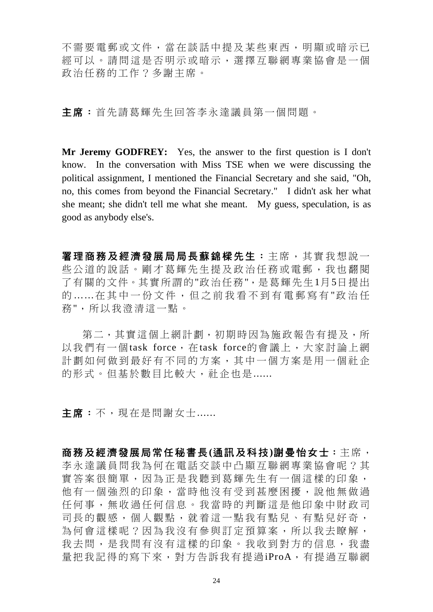不需要電郵或文件,當在談話中提及某些東西,明顯或暗示已 經可以。請問這是否明示或暗示,選擇互聯網專業協會是一個 政治任務的工作?多謝主席。

主席:首先請葛輝先生回答李永達議員第一個問題。

**Mr Jeremy GODFREY:** Yes, the answer to the first question is I don't know. In the conversation with Miss TSE when we were discussing the political assignment, I mentioned the Financial Secretary and she said, "Oh, no, this comes from beyond the Financial Secretary." I didn't ask her what she meant; she didn't tell me what she meant. My guess, speculation, is as good as anybody else's.

署理商務及經濟發展局局長蘇錦樑先生:主席,其實我想說一 些公道的說話。剛才葛輝先生提及政治任務或電郵,我也翻閱 了有關的文件。其實所謂的"政治任務",是葛輝先生1月5日提出 的……在其中一份文件,但之前我看不到有電郵寫有"政治任 務",所以我澄清這一點。

第二,其實這個上網計劃,初期時因為施政報告有提及,所 以我們有一個task force, 在task force的會議上,大家討論上網 計劃如何做到最好有不同的方案,其中一個方案是用一個社企 的形式。但基於數目比較大,社企也是......

主席:不,現在是問謝女十......

商務及經濟發展局常任秘書長**(**通訊及科技**)**謝曼怡女士:主席, 李永達議員問我為何在電話交談中凸顯互聯網專業協會呢?其 實答案很簡單,因為正是我聽到葛輝先生有一個這樣的印象, 他有一個強烈的印象,當時他沒有受到甚麼困擾,說他無做過 任何事,無收過任何信息。我當時的判斷這是他印象中財政司 司長的觀感,個人觀點,就着這一點我有點兒、有點兒好奇, 為何會這樣呢?因為我沒有參與訂定預算案,所以我去瞭解, 我去問,是我問有沒有這樣的印象。我收到對方的信息,我盡 量把我記得的寫下來,對方告訴我有提過iProA,有提過互聯網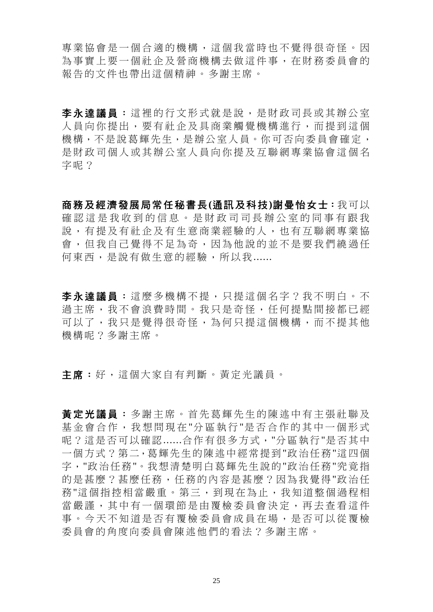專業協會是一個合適的機構,這個我當時也不覺得很奇怪。因 為事實上要一個社企及營商機構去做這件事,在財務委員會的 報告的文件也帶出這個精神。多謝主席。

李永達議員:這裡的行文形式就是說,是財政司長或其辦公室 人員向你提出,要有社企及具商業觸覺機構進行,而提到這個 機構,不是說葛輝先生,是辦公室人員。你可否向委員會確定, 是財政司個人或其辦公室人員向你提及互聯網專業協會這個名 字呢?

商務及經濟發展局常任秘書長**(**通訊及科技**)**謝曼怡女士:我可以 確認這是我收到的信息。是財政司司長辦公室的同事有跟我 說,有提及有社企及有生意商業經驗的人,也有互聯網專業協 會,但我自己覺得不足為奇,因為他說的並不是要我們繞過任 何東西,是說有做生意的經驗,所以我......

李永達議員:這麼多機構不提,只提這個名字?我不明白。不 過主席,我不會浪費時間。我只是奇怪,任何提點間接都已經 可以了,我只是覺得很奇怪,為何只提這個機構,而不提其他 機構呢?多謝主席。

主席:好,這個大家自有判斷。黃定光議員。

黃定光議員:多謝主席。首先葛輝先生的陳述中有主張社聯及 基金會合作,我想問現在 "分區執行 "是否合作的其中一個形式 呢?這是否可以確認......合作有很多方式,"分區執行"是否其中 一個方式?第二,葛輝先生的陳述中經常提到"政治任務"這四個 字,"政治任務"。我想清楚明白葛輝先生說的"政治任務"究竟指 的是甚麼?甚麼任務,任務的內容是甚麼?因為我覺得"政治任 務"這個指控相當嚴重。第三,到現在為止,我知道整個過程相 當嚴謹,其中有一個環節是由覆檢委員會決定,再去查看這件 事。今天不知道是否有覆檢委員會成員在場,是否可以從覆檢 委員會的角度向委員會陳述他們的看法?多謝主席。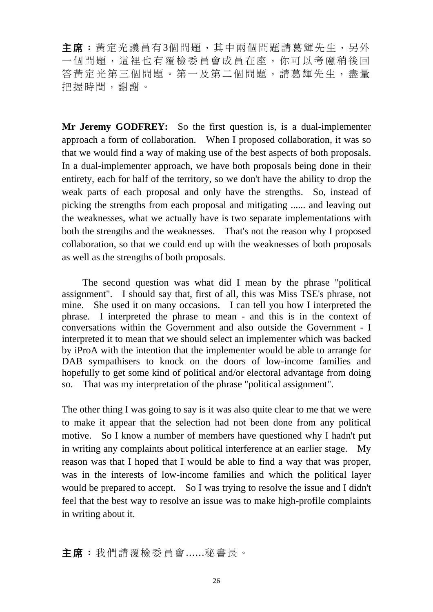主席:黃定光議員有3個問題,其中兩個問題請葛輝先生,另外 一個問題,這裡也有覆檢委員會成員在座,你可以考慮稍後回 答黃定光第三個問題。第一及第二個問題,請葛輝先生,盡量 把握時間,謝謝。

**Mr Jeremy GODFREY:** So the first question is, is a dual-implementer approach a form of collaboration. When I proposed collaboration, it was so that we would find a way of making use of the best aspects of both proposals. In a dual-implementer approach, we have both proposals being done in their entirety, each for half of the territory, so we don't have the ability to drop the weak parts of each proposal and only have the strengths. So, instead of picking the strengths from each proposal and mitigating ...... and leaving out the weaknesses, what we actually have is two separate implementations with both the strengths and the weaknesses. That's not the reason why I proposed collaboration, so that we could end up with the weaknesses of both proposals as well as the strengths of both proposals.

 The second question was what did I mean by the phrase "political assignment". I should say that, first of all, this was Miss TSE's phrase, not mine. She used it on many occasions. I can tell you how I interpreted the phrase. I interpreted the phrase to mean - and this is in the context of conversations within the Government and also outside the Government - I interpreted it to mean that we should select an implementer which was backed by iProA with the intention that the implementer would be able to arrange for DAB sympathisers to knock on the doors of low-income families and hopefully to get some kind of political and/or electoral advantage from doing so. That was my interpretation of the phrase "political assignment".

The other thing I was going to say is it was also quite clear to me that we were to make it appear that the selection had not been done from any political motive. So I know a number of members have questioned why I hadn't put in writing any complaints about political interference at an earlier stage. My reason was that I hoped that I would be able to find a way that was proper, was in the interests of low-income families and which the political layer would be prepared to accept. So I was trying to resolve the issue and I didn't feel that the best way to resolve an issue was to make high-profile complaints in writing about it.

### 主席:我們請覆檢委員會......秘書長。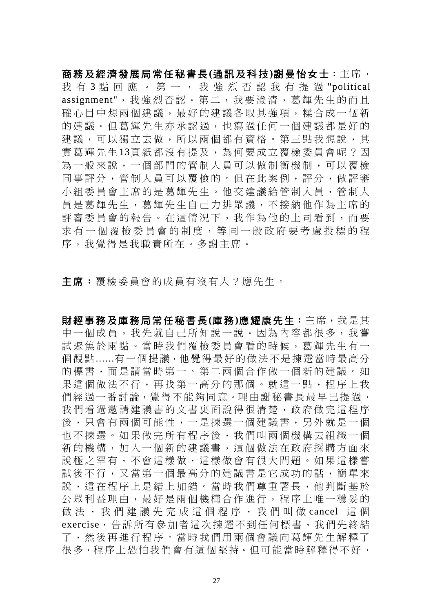商務及經濟發展局常任秘書長**(**通訊及科技**)**謝曼怡女士:主席, 我 有 3 點 回 應 。 第 一 , 我 強 烈 否 認 我 有 提 過 "political assignment",我強烈否認。第二,我 要澄清,葛輝先生的而且 確心目中想兩個建議,最好的建議各取其強項,糅合成一個新 的建議。但葛輝先生亦承認過,也寫過任何一個建議都是好的 建議,可以獨立去做,所以兩個都有資格。第三點我想說,其 實葛輝先生13頁紙都沒有提及,為何要成立覆檢委員會呢?因 為一般來說,一個部門的管制人員可以做制衡機制,可以覆檢 同事評分,管制人員可以覆檢的。但在此案例,評分,做評審 小組委員會主席的是葛輝先生。他交建議給管制人員,管制人 員是葛輝先生,葛輝先生自己力排眾議,不接納他作為主席的 評審委員會的報告。在這情況下,我作為他的上司看到,而要 求有一個覆檢委員會的制度, 等同一般政府要考慮投標的程 序,我覺得是我職責所在。多謝主席。

主席:覆檢委員會的成員有沒有人?應先生。

財經事務及庫務局常任秘書長**(**庫務**)**應耀康先生:主席,我是其 中一個成員,我先就自己所知說一說。因為內容都很多,我嘗 試聚焦於兩點。當時我們覆檢委員會看的時候,葛輝先生有一 個觀點......有一個提議,他覺得最好的做法不是揀選當時最高分 的標書,而是請當時第一、第二兩個合作做一個新的建議。如 果這個做法不行,再找第一高分的那個。就這一點,程序上我 們經過一番討論,覺得不能夠同意。理由謝秘書長最早已提過, 我們看過邀請建議書的文書裏面說得很清楚,政府做完這程序 後,只會有兩個可能性,一是揀選一個建議書,另外就是一個 也不揀選。如果做完所有程序後,我們叫兩個機構去組織一個 新的機構,加入一個新的建議書,這個做法在政府採購方面來 說極之罕有,不會這樣做,這樣做會有很大問題。如果這樣嘗 試後不行,又當第一個最高分的建議書是它成功的話,簡單來 說,這在程序上是錯上加錯。當時我們尊重署長,他判斷基於 公眾利益理由,最好是兩個機構合作進行,程序上唯一穩妥的 做 法,,我們 建 議 先 完 成 這 個 程 序,,我 們 叫 做 cancel 這 個 exercise,告訴所有參加者這次揀選不到任何標書,我們先終結 了,然後再進行程序。當時我們用兩個會議向葛輝先生解釋了 很多,程序上恐怕我們會有這個堅持。但可能當時解釋得不好,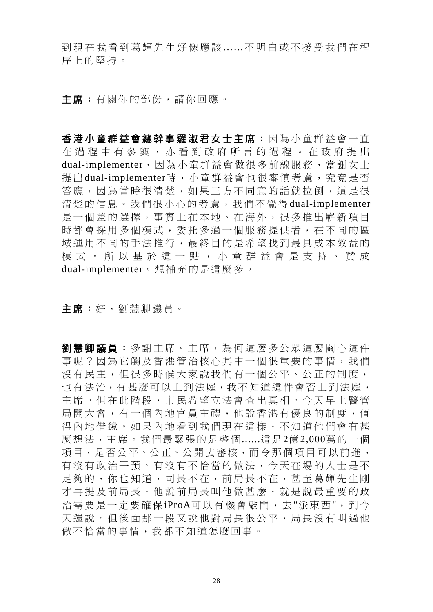到現在我看到葛輝先生好像應該 ……不明白或不接受我們在程 序上的堅持。

主席:有關你的部份,請你回應。

香港小童群益會總幹事羅淑君女士主席:因為小童群益會一直 在過程中有參與,亦看到政府所言的過程。在政府提出 dual-implementer,因為小童群益會做很多前線服務,當謝女士 提出dual-implementer時,小童群益會也很審慎考慮,究竟是否 答應,因為當時很清楚,如果三方不同意的話就拉倒,這是很 清楚的信息。我們很小心的考慮,我們不覺得dual-implementer 是一個差的選擇,事實上在本地、在海外,很多推出嶄新項目 時都會採用多個模式,委托多過一個服務提供者,在不同的區 域運用不同的手法推行,最終目的是希望找到最具成本效益的 模式。所以基於這一點,小童群益會是支持、贊成 dual-implementer。想補充的是這麼多。

主席:好,劉慧卿議員。

**劉慧卿議員**:多謝主席。主席,為何這麼多公眾這麼關心這件 事呢?因為它觸及香港管治核心其中一個很重要的事情,我們 沒有民主,但很多時候大家說我們有一個公平、公正的制度, 也有法治,有甚麼可以上到法庭,我不知道這件會否上到法庭, 主席。但在此階段,市民希望立法會查出真相。今天早上醫管 局開大會,有一個內地官員主禮,他說香港有優良的制度,值 得內地借鏡。如果內地看到我們現在這樣,不知道他們會有甚 麼想法,主席。我們最緊張的是整個......這是2億2,000萬的一個 項目,是否公平、公正、公開去審核,而令那個項目可以前進, 有沒有政治干預、有沒有不恰當的做法,今天在場的人士是不 足夠的,你也知道,司長不在,前局長不在,甚至葛輝先生剛 才再提及前局長,他說前局長叫他做甚麼,就是說最重要的政 治需要是一定要確保iProA可以有機會敲門,去"派東西",到今 天還說。但後面那一段又說他對局長很公平,局長沒有叫過他 做不恰當的事情,我都不知道怎麼回事。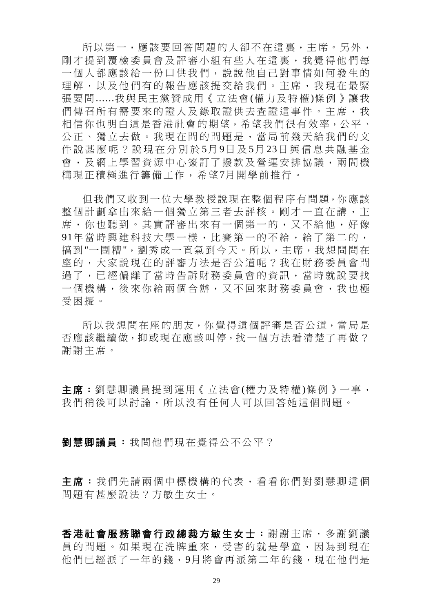所以第一,應該要回答問題的人卻不在這裏,主席。另外, 剛才提到覆檢委員會及評審小組有些人在這裏,我覺得他們每 一個人都應該給一份口供我們,說說他自己對事情如何發生的 理解,以及他們有的報告應該提交給我們。主席,我現在最緊 張要問......我與民主黨贊成用《立法會(權力及特權)條例》讓我 們傳召所有需要來的證人及錄取證供去杳證這事件。主席,我 相信你也明白這是香港社會的期望,希望我們很有效率,公平、 公正、獨立去做。我現在問的問題是,當局前幾天給我們的文 件說甚麼呢?說現在分別於 5月 9日及 5月 23日與信息共融基金 會,及網上學習資源中心簽訂了撥款及營運安排協議,兩間機 構現正積極進行籌備工作,希望7月開學前推行。

但我們又收到一位大學教授說現在整個程序有問題,你應該 整個計劃拿出來給一個獨立第三者去評核。剛才一直在講,主 席,你也聽到。其實評審出來有一個第一的,又不給他,好像 91年當時興建科技大學一樣,比賽第一的不給,給了第二的, 搞到"一團糟",劉秀成一直氣到今天。所以,主席,我想問問在 座的,大家說現在的評審方法是否公道呢?我在財務委員會問 過了,已經偏離了當時告訴財務委員會的資訊,當時就說要找 一個機構,後來你給兩個合辦,又不回來財務委員會,我也極 受困擾。

所以我想問在座的朋友,你覺得這個評審是否公道,當局是 否應該繼續做,抑或現在應該叫停,找一個方法看清楚了再做? 謝謝主席。

主席:劉慧卿議員提到運用《立法會(權力及特權)條例》一事, 我們稍後可以討論,所以沒有任何人可以回答她這個問題。

劉慧卿議員:我問他們現在覺得公不公平?

主席:我們先請兩個中標機構的代表,看看你們對劉慧卿這個 問題有甚麼說法?方敏生女士。

香港社會服務聯會行政總裁方敏生女士:謝謝主席,多謝劉議 員的問題。如果現在洗牌重來,受害的就是學童,因為到現在 他們已經派了一年的錢,9月將會再派第二年的錢,現在他們是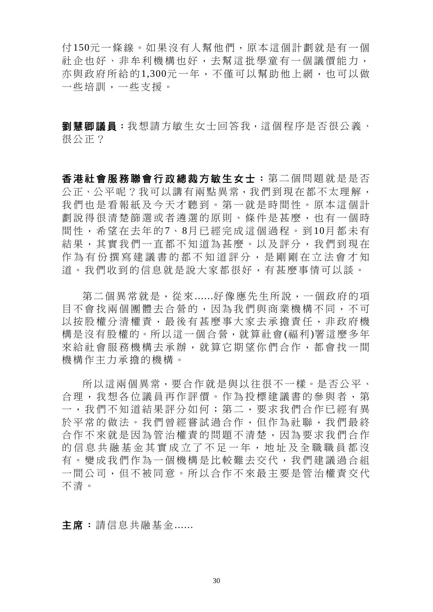付150元一條線。如果沒有人幫他們,原本這個計劃就是有一個 社企也好、非牟利機構也好,去幫這批學童有一個議價能力, 亦與政府所給的1,300元一年,不僅可以幫助他上網,也可以做 一些培訓,一些支援。

劉慧卿議員:我想請方敏生女士回答我,這個程序是否很公義、 很公正?

香港社會服務聯會行政總裁方敏生女士:第二個問題就是是否 公正、公平呢?我可以講有兩點異常,我們到現在都不太理解, 我們也是看報紙及今天才聽到。第一就是時間性。原本這個計 劃說得很清楚篩選或者遴選的原則、條件是甚麼,也有一個時 間性,希望在去年的7、8月已經完成這個過程。到10月都未有 結果,其實我們一直都不知道為甚麼。以及評分,我們到現在 作為有份撰寫建議書的都不知道評分,是剛剛在立法會才知 道。我們收到的信息就是說大家都很好,有甚麼事情可以談。

第二個異常就是,從來......好像應先生所說,一個政府的項 目不會找兩個團體去合營的,因為我們與商業機構不同,不可 以按股權分清權責,最後有甚麼事大家去承擔責任,非政府機 構是沒有股權的。所以這一個合營,就算社會(福利)署這麼多年 來給社會服務機構去承辦,就算它期望你們合作,都會找一間 機構作主力承擔的機構。

所以這兩個異常,要合作就是與以往很不一樣。是否公平、 合理,我想各位議員再作評價。作為投標建議書的參與者,第 一,我們不知道結果評分如何;第二,要求我們合作已經有異 於平常的做法。我們曾經嘗試過合作,但作為社聯,我們最終 合作不來就是因為管治權責的問題不清楚,因為要求我們合作 的信息共融基金其實成立了不足一年,地址及全職職員都沒 有。變成我們作為一個機構是比較難去交代,我們建議過合組 一間公司,但不被同意。所以合作不來最主要是管治權責交代 不清。

主席:請信息共融基金......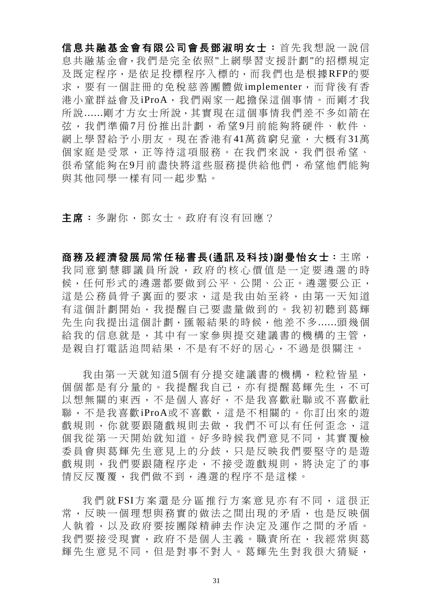信息共融基金會有限公司會長鄧淑明女士: 首先我想說一說信 息共融基金會,我們是完全依照"上網學習支援計劃"的招標規定 及既定程序,是依足投標程序入標的,而我們也是根據RFP的要 求,要有一個註冊的免稅慈善團體做 implementer,而背後有香 港小童群益會及iProA,我們兩家一起擔保這個事情。而剛才我 所說......剛才方女士所說,其實現在這個事情我們差不多如箭在 弦,我們準備7月份推出計劃,希望9月前能夠將硬件、軟件、 網上學習給予小朋友。現在香港有41萬貧窮兒童,大概有31萬 個家庭是受眾,正等待這項服務。在我們來說,我們很希望、 很希望能夠在9月前盡快將這些服務提供給他們,希望他們能夠 與其他同學一樣有同一起步點。

主席:多謝你,鄧女士。政府有沒有回應?

商務及經濟發展局常任秘書長**(**通訊及科技**)**謝曼怡女士:主席, 我同意劉慧卿議員所說,政府的核心價值是一定要遴選的時 候,任何形式的遴選都要做到公平、公開、公正。遴選要公正, 這是公務員骨子裏面的要求,這是我由始至終,由第一天知道 有這個計劃開始,我提醒自己要盡量做到的。我初初聽到葛輝 先生向我提出這個計劃,匯報結果的時候,他差不多......頭幾個 給我的信息就是,其中有一家參與提交建議書的機構的主管, 是親自打電話追問結果,不是有不好的居心,不過是很關注。

我由第一天就知道5個有分提交建議書的機構,粒粒皆星, 個個都是有分量的。我提醒我自己,亦有提醒葛輝先生,不可 以想無關的東西,不是個人喜好,不是我喜歡社聯或不喜歡社 聯,不是我喜歡iProA或不喜歡,這是不相關的。你訂出來的遊 戲規則,你就要跟隨戲規則去做,我們不可以有任何歪念,這 個我從第一天開始就知道。好多時候我們意見不同,其實覆檢 委員會與葛輝先生意見上的分歧,只是反映我們要堅守的是游 戲規則,我們要跟隨程序走,不接受遊戲規則,將決定了的事 情反反覆覆,我們做不到,遴選的程序不是這樣。

我們就FSI方案還是分區推行方案意見亦有不同,這很正 常,反映一個理想與務實的做法之間出現的矛盾,也是反映個 人執着,以及政府要按團隊精神去作決定及運作之間的矛盾。 我們要接受現實,政府不是個人主義。職責所在,我經常與葛 輝先生意見不同,但是對事不對人。葛輝先生對我很大猜疑,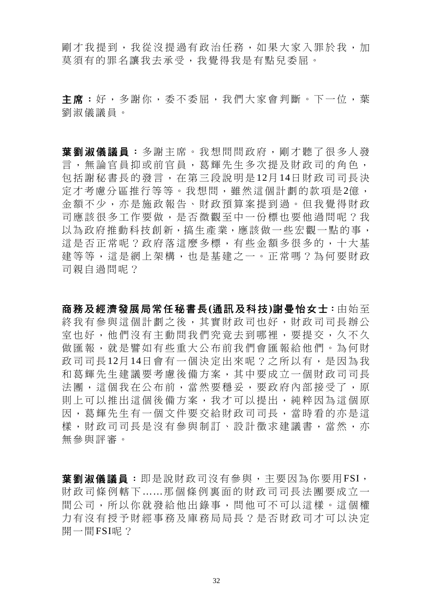剛才我提到,我從沒提過有政治任務,如果大家入罪於我,加 莫須有的罪名讓我去承受,我覺得我是有點兒委屈。

主席:好,多謝你,委不委屈,我們大家會判斷。下一位,葉 劉淑儀議員。

葉劉淑儀議員: 多謝主席。我想問問政府, 剛才聽了很多人發 言,無論官員抑或前官員,葛輝先生多次提及財政司的角色, 包括謝秘書長的發言,在第三段說明是 12月 14日財政司司長決 定才考慮分區推行等等。我想問,雖然這個計劃的款項是2億, 金額不少,亦是施政報告、財政預算案提到過。但我覺得財政 司應該很多工作要做,是否微觀至中一份標也要他過問呢?我 以為政府推動科技創新,搞生產業,應該做一些宏觀一點的事, 這是否正常呢?政府落這麼多標,有些金額多很多的,十大基 建等等,這是網上架構,也是基建之一。正常嗎?為何要財政 司親自過問呢?

商務及經濟發展局常任秘書長**(**通訊及科技**)**謝曼怡女士:由始至 終我有參與這個計劃之後,其實財政司也好,財政司司長辦公 室也好,他們沒有主動問我們究竟去到哪裡,要提交,久不久 做匯報,就是譬如有些重大公布前我們會匯報給他們。為何財 政司司長12月14日會有一個決定出來呢?之所以有,是因為我 和葛輝先生建議要考慮後備方案,其中要成立一個財政司司長 法團,這個我在公布前,當然要穩妥,要政府內部接受了,原 則上可以推出這個後備方案,我才可以提出,純粹因為這個原 因,葛輝先生有一個文件要交給財政司司長,當時看的亦是這 樣,財政司司長是沒有參與制訂、設計徵求建議書,當然,亦 無參與評審。

葉劉淑儀議員:即是說財政司沒有參與,主要因為你要用FSI, 財政司條例轄下 ……那個條例裏面的財政司司長法團要成立一 間公司,所以你就發給他出錄事,問他可不可以這樣。這個權 力有沒有授予財經事務及庫務局局長?是否財政司才可以決定 開一間FSI呢?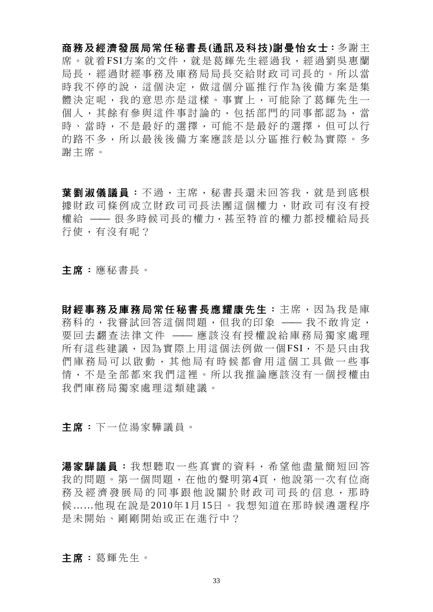商務及經濟發展局常任秘書長**(**通訊及科技**)**謝曼怡女士:多謝主 席。就着FSI方案的文件,就是葛輝先生經過我,經過劉吳惠蘭 局長,經過財經事務及庫務局局長交給財政司司長的。所以當 時我不停的說,這個決定,做這個分區推行作為後備方案是集 體決定呢,我的意思亦是這樣。事實上,可能除了葛輝先生一 個人,其餘有參與這件事討論的,包括部門的同事都認為,當 時、當時,不是最好的選擇,可能不是最好的選擇,但可以行 的路不多,所以最後後備方案應該是以分區推行較為實際。多 謝主席。

葉劉淑儀議員: 不過,主席, 秘書長還未回答我, 就是到底根 據財政司條例成立財政司司長法團這個權力,財政司有沒有授 權給 —— 很多時候司長的權力,甚至特首的權力都授權給局長 行使,有沒有呢?

主席:應秘書長。

財經事務及庫務局常任秘書長應耀康先生: 主席,因為我是庫 務科的,我嘗試回答這個問題,但我的印象 —— 我不敢肯定, 要回去翻查法律文件 —— 應該沒有授權說給庫務局獨家處理 所有這些建議,因為實際上用這個法例做一個FSI,不是只由我 們庫務局可以啟動,其他局有時候都會用這個工具做一些事 情,不是全部都來我們這裡。所以我推論應該沒有一個授權由 我們庫務局獨家處理這類建議。

主席:下一位湯家驊議員。

湯家驊議員:我想聽取一些直實的資料,希望他盡量簡短回答 我的問題。第一個問題, 在他的聲明第4百,他說第一次有位商 務及經濟發展局的同事跟他說關於財政司司長的信息,那時 候……他現在說是2010年1月15日。我想知道在那時候遴選程序 是未開始、剛剛開始或正在進行中?

主席:葛輝先生。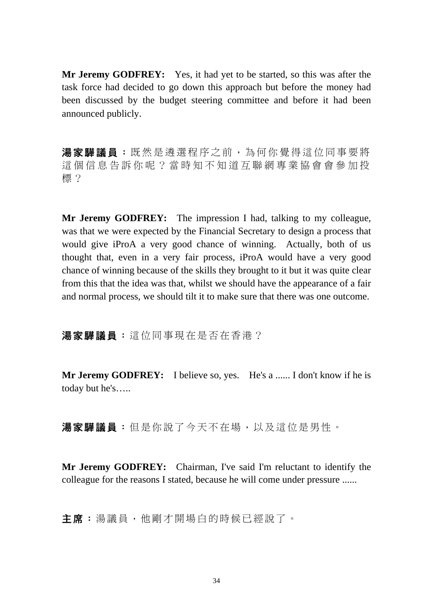**Mr Jeremy GODFREY:** Yes, it had yet to be started, so this was after the task force had decided to go down this approach but before the money had been discussed by the budget steering committee and before it had been announced publicly.

湯家驊議員:既然是遴選程序之前,為何你覺得這位同事要將 這個信息告訴你呢?當時知不知道互聯網專業協會會參加投 標?

**Mr Jeremy GODFREY:** The impression I had, talking to my colleague, was that we were expected by the Financial Secretary to design a process that would give iProA a very good chance of winning. Actually, both of us thought that, even in a very fair process, iProA would have a very good chance of winning because of the skills they brought to it but it was quite clear from this that the idea was that, whilst we should have the appearance of a fair and normal process, we should tilt it to make sure that there was one outcome.

湯家驊議員:這位同事現在是否在香港?

**Mr Jeremy GODFREY:** I believe so, yes. He's a ...... I don't know if he is today but he's…..

湯家驊議員:但是你說了今天不在場,以及這位是男性。

**Mr Jeremy GODFREY:** Chairman, I've said I'm reluctant to identify the colleague for the reasons I stated, because he will come under pressure ......

主席:湯議員,他剛才開場白的時候已經說了。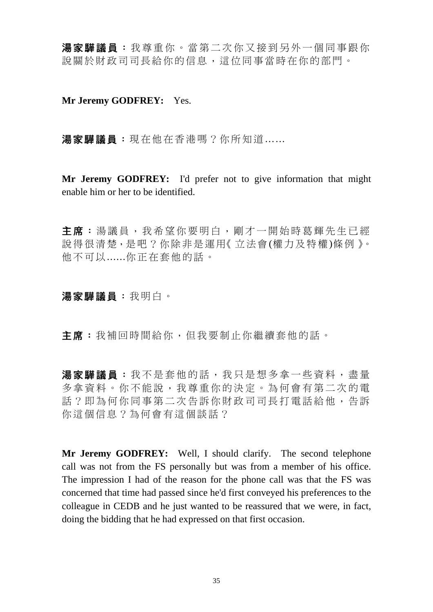湯家驊議員:我尊重你。當第二次你又接到另外一個同事跟你 說關於財政司司長給你的信息,這位同事當時在你的部門。

**Mr Jeremy GODFREY:** Yes.

湯家驊議員:現在他在香港嗎?你所知道……

**Mr Jeremy GODFREY:** I'd prefer not to give information that might enable him or her to be identified.

主席:湯議員,我希望你要明白,剛才一開始時葛輝先生已經 說得很清楚,是吧?你除非是運用《立法會(權力及特權)條例》。 他不可以......你正在套他的話。

#### 湯家驊議員:我明白。

主席:我補回時間給你,但我要制止你繼續套他的話。

湯家驊議員:我不是套他的話,我只是想多拿一些資料,盡量 多拿資料。你不能說,我尊重你的決定。為何會有第二次的電 話?即為何你同事第二次告訴你財政司司長打電話給他,告訴 你這個信息?為何會有這個談話?

**Mr Jeremy GODFREY:** Well, I should clarify. The second telephone call was not from the FS personally but was from a member of his office. The impression I had of the reason for the phone call was that the FS was concerned that time had passed since he'd first conveyed his preferences to the colleague in CEDB and he just wanted to be reassured that we were, in fact, doing the bidding that he had expressed on that first occasion.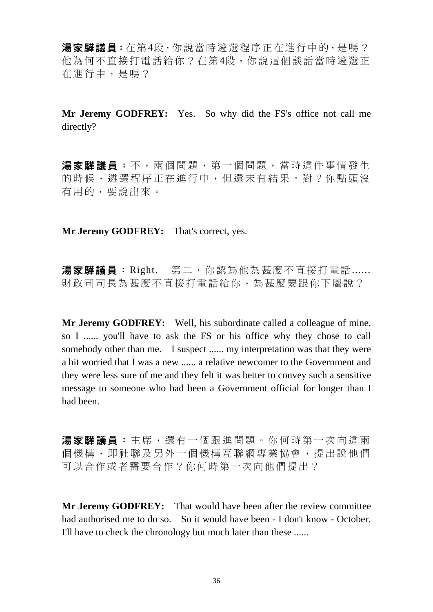湯家驊議員:在第4段,你說當時遴選程序正在進行中的,是嗎? 他為何不直接打電話給你?在第4段,你說這個談話當時遴選正 在進行中,是嗎?

**Mr Jeremy GODFREY:** Yes. So why did the FS's office not call me directly?

湯家驊議員:不,兩個問題,第一個問題,當時這件事情發生 的時候,遴選程序正在進行中,但還未有結果。對?你點頭沒 有用的,要說出來。

**Mr Jeremy GODFREY:** That's correct, yes.

湯家驊議員: Right. 第二,你認為他為甚麼不直接打電話...... 財政司司長為甚麼不直接打電話給你,為甚麼要跟你下屬說?

**Mr Jeremy GODFREY:** Well, his subordinate called a colleague of mine, so I ...... you'll have to ask the FS or his office why they chose to call somebody other than me. I suspect ...... my interpretation was that they were a bit worried that I was a new ...... a relative newcomer to the Government and they were less sure of me and they felt it was better to convey such a sensitive message to someone who had been a Government official for longer than I had been.

湯家驊議員:主席,還有一個跟進問題。你何時第一次向這兩 個機構,即社聯及另外一個機構互聯網專業協會,提出說他們 可以合作或者需要合作?你何時第一次向他們提出?

**Mr Jeremy GODFREY:** That would have been after the review committee had authorised me to do so. So it would have been - I don't know - October. I'll have to check the chronology but much later than these ......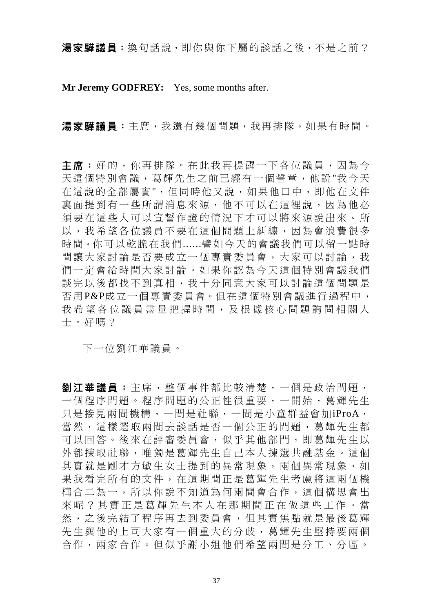湯家驊議員:換句話說,即你與你下屬的談話之後,不是之前?

**Mr Jeremy GODFREY:** Yes, some months after.

湯家驊議員:主席,我還有幾個問題,我再排隊,如果有時間。

主席:好的,你再排隊。在此我再提醒一下各位議員,因為今 天這個特別會議,葛輝先生之前已經有一個誓章,他說"我今天 在這說的全部屬實",但同時他又說,如果他口中,即他在文件 裏面提到有一些所謂消息來源,他不可以在這裡說,因為他必 須要在這些人可以宣誓作證的情況下才可以將來源說出來。所 以,我希望各位議員不要在這個問題上糾纏,因為會浪費很多 時間。你可以乾脆在我們......譬如今天的會議我們可以留一點時 間讓大家討論是否要成立一個專責委員會,大家可以討論,我 們一定會給時間大家討論。如果你認為今天這個特別會議我們 談完以後都找不到真相,我十分同意大家可以討論這個問題是 否用P&P成立一個專責委員會。但在這個特別會議進行過程中, 我希望各位議員盡量把握時間,及根據核心問題詢問相關人 士。好嗎?

下一位劉江華議員。

劉江華議員:主席,整個事件都比較清楚,一個是政治問題, 一個程序問題。程序問題的公正性很重要,一開始,葛輝先生 只是接見兩間機構,一間是社聯,一間是小童群益會加iProA, 當然,這樣選取兩間去談話是否一個公正的問題,葛輝先生都 可以回答。後來在評審委員會,似乎其他部門,即葛輝先生以 外都揀取社聯,唯獨是葛輝先生自己本人揀選共融基金。這個 其實就是剛才方敏生女士提到的異常現象,兩個異常現象,如 果我看完所有的文件,在這期間正是葛輝先生考慮將這兩個機 構合二為一,所以你說不知道為何兩間會合作,這個構思會出 來呢?其實正是葛輝先生本人在那期間正在做這些工作。當 然,之後完結了程序再去到委員會,但其實焦點就是最後葛輝 先生與他的上司大家有一個重大的分歧,葛輝先生堅持要兩個 合作,兩家合作。但似乎謝小姐他們希望兩間是分工、分區。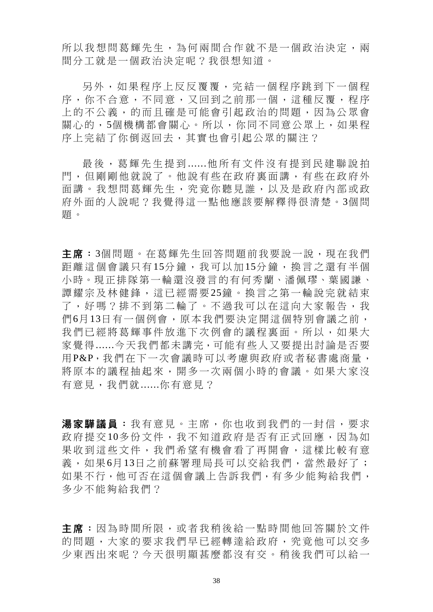所以我想問葛輝先生,為何兩間合作就不是一個政治決定,兩 間分工就是一個政治決定呢?我很想知道。

另外,如果程序上反反覆覆,完結 一個程序跳到下一個程 序,你不合意,不同意,又回到之前那一個,這種反覆,程序 上的不公義,的而且確是可能會引起政治的問題,因為公眾會 關心的,5個機構都會關心。所以,你同不同意公眾上,如果程 序上完結了你倒返回去,其實也會引起公眾的關注?

最後,葛輝先生提到 ......他所有文件沒有提到民建聯說拍 門,但剛剛他就說了。他說有些在政府裏面講,有些在政府外 面講。我想問葛輝先生,究竟你聽見誰,以及是政府內部或政 府外面的人說呢?我覺得這一點他應該要解釋得很清楚。3個問 題。

主席: 3個問題。在葛輝先生回答問題前我要說一說,現在我們 距離這個會議只有15分鐘,我可以加15分鐘,換言之還有半個 小時。現正排隊第一輪還沒發言的有何秀蘭、潘佩璆、葉國謙、 譚耀宗及林健鋒,這已經需要25鐘。換言之第一輪說完就結束 了,好嗎?排不到第二輪了。不過我可以在這向大家報告,我 們6月13日有一個例會,原本我們要決定開這個特別會議之前, 我們已經將葛輝事件放淮下次例會的議程裏面。所以,如果大 家覺得......今天我們都未講完,可能有些人又要提出討論是否要 用P&P,我們在下一次會議時可以考慮與政府或者秘書處商量, 將原本的議程抽起來,開多一次兩個小時的會議。如果大家沒 有意見,我們就......你有意見?

湯家驊議員:我有意見。主席,你也收到我們的一封信,要求 政府提交10多份文件,我不知道政府是否有正式回應,因為如 果收到這些文件,我們希望有機會看了再開會,這樣比較有意 義,如果6月13日之前蘇署理局長可以交給我們,當然最好了; 如果不行,他可否在這個會議上告訴我們,有多少能夠給我們, 多少不能夠給我們?

主席:因為時間所限,或者我稍後給一點時間他回答關於文件 的問題,大家的要求我們早已經轉達給政府,究竟他可以交多 少東西出來呢?今天很明顯甚麼都沒有交。稍後我們可以給一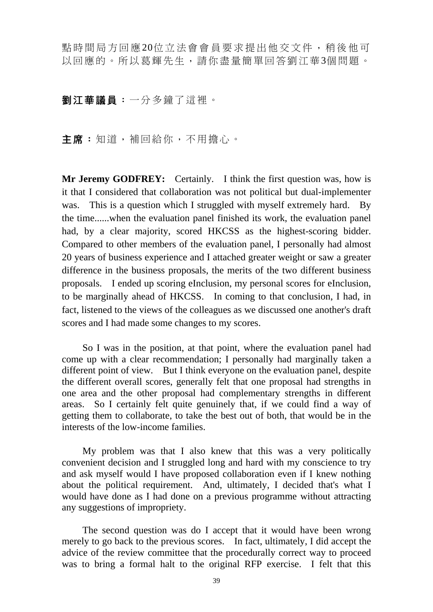點時間局方回應 20位立法會會員要求提出他交文件,稍後他可 以回應的。所以葛輝先生,請你盡量簡單回答劉江華3個問題。

## 劉江華議員:一分多鐘了這裡。

主席:知道,補回給你,不用擔心。

**Mr Jeremy GODFREY:** Certainly. I think the first question was, how is it that I considered that collaboration was not political but dual-implementer was. This is a question which I struggled with myself extremely hard. By the time......when the evaluation panel finished its work, the evaluation panel had, by a clear majority, scored HKCSS as the highest-scoring bidder. Compared to other members of the evaluation panel, I personally had almost 20 years of business experience and I attached greater weight or saw a greater difference in the business proposals, the merits of the two different business proposals. I ended up scoring eInclusion, my personal scores for eInclusion, to be marginally ahead of HKCSS. In coming to that conclusion, I had, in fact, listened to the views of the colleagues as we discussed one another's draft scores and I had made some changes to my scores.

 So I was in the position, at that point, where the evaluation panel had come up with a clear recommendation; I personally had marginally taken a different point of view. But I think everyone on the evaluation panel, despite the different overall scores, generally felt that one proposal had strengths in one area and the other proposal had complementary strengths in different areas. So I certainly felt quite genuinely that, if we could find a way of getting them to collaborate, to take the best out of both, that would be in the interests of the low-income families.

 My problem was that I also knew that this was a very politically convenient decision and I struggled long and hard with my conscience to try and ask myself would I have proposed collaboration even if I knew nothing about the political requirement. And, ultimately, I decided that's what I would have done as I had done on a previous programme without attracting any suggestions of impropriety.

 The second question was do I accept that it would have been wrong merely to go back to the previous scores. In fact, ultimately, I did accept the advice of the review committee that the procedurally correct way to proceed was to bring a formal halt to the original RFP exercise. I felt that this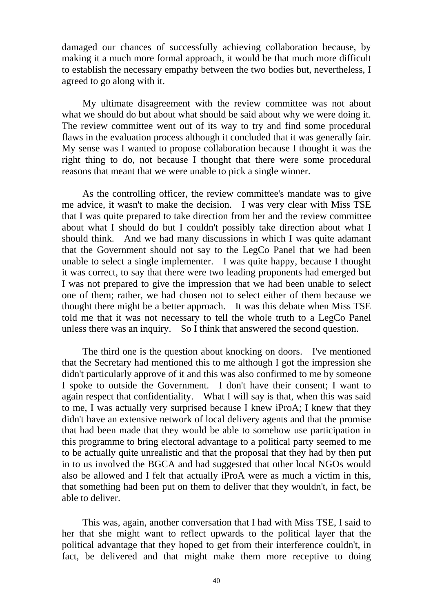damaged our chances of successfully achieving collaboration because, by making it a much more formal approach, it would be that much more difficult to establish the necessary empathy between the two bodies but, nevertheless, I agreed to go along with it.

 My ultimate disagreement with the review committee was not about what we should do but about what should be said about why we were doing it. The review committee went out of its way to try and find some procedural flaws in the evaluation process although it concluded that it was generally fair. My sense was I wanted to propose collaboration because I thought it was the right thing to do, not because I thought that there were some procedural reasons that meant that we were unable to pick a single winner.

 As the controlling officer, the review committee's mandate was to give me advice, it wasn't to make the decision. I was very clear with Miss TSE that I was quite prepared to take direction from her and the review committee about what I should do but I couldn't possibly take direction about what I should think. And we had many discussions in which I was quite adamant that the Government should not say to the LegCo Panel that we had been unable to select a single implementer. I was quite happy, because I thought it was correct, to say that there were two leading proponents had emerged but I was not prepared to give the impression that we had been unable to select one of them; rather, we had chosen not to select either of them because we thought there might be a better approach. It was this debate when Miss TSE told me that it was not necessary to tell the whole truth to a LegCo Panel unless there was an inquiry. So I think that answered the second question.

 The third one is the question about knocking on doors. I've mentioned that the Secretary had mentioned this to me although I got the impression she didn't particularly approve of it and this was also confirmed to me by someone I spoke to outside the Government. I don't have their consent; I want to again respect that confidentiality. What I will say is that, when this was said to me, I was actually very surprised because I knew iProA; I knew that they didn't have an extensive network of local delivery agents and that the promise that had been made that they would be able to somehow use participation in this programme to bring electoral advantage to a political party seemed to me to be actually quite unrealistic and that the proposal that they had by then put in to us involved the BGCA and had suggested that other local NGOs would also be allowed and I felt that actually iProA were as much a victim in this, that something had been put on them to deliver that they wouldn't, in fact, be able to deliver.

 This was, again, another conversation that I had with Miss TSE, I said to her that she might want to reflect upwards to the political layer that the political advantage that they hoped to get from their interference couldn't, in fact, be delivered and that might make them more receptive to doing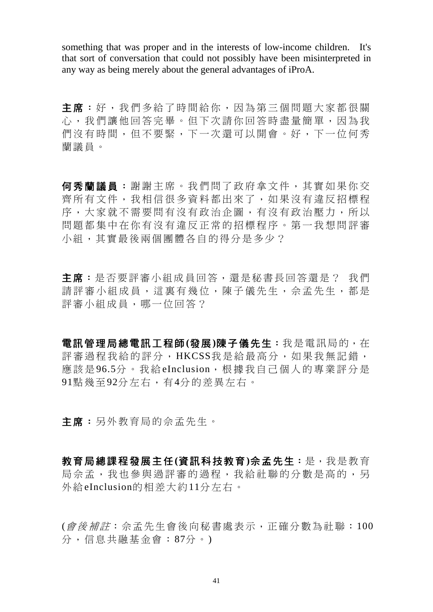something that was proper and in the interests of low-income children. It's that sort of conversation that could not possibly have been misinterpreted in any way as being merely about the general advantages of iProA.

主席:好,我們多給了時間給你,因為第三個問題大家都很關 心,我們讓他回答完畢。但下次請你回答時盡量簡單,因為我 們沒有時間,但不要緊,下一次還可以開會。好,下一位何秀 蘭議員。

何秀蘭議員:謝謝主席。我們問了政府拿文件,其實如果你交 齊所有文件,我相信很多資料都出來了,如果沒有違反招標程 序,大家就不需要問有沒有政治企圖,有沒有政治壓力,所以 問題都集中在你有沒有違反正常的招標程序。第一我想問評審 小組,其實最後兩個團體各自的得分是多少?

主席:是否要評審小組成員回答,還是秘書長回答還是? 我們 請評審小組成員,這裏有幾位,陳子儀先生,佘孟先生,都是 評審小組成員,哪一位回答?

電訊管理局總電訊工程師**(**發展**)**陳子儀先生:我是電訊局的,在 評審過程我給的評分, HKCSS我是給最高分,如果我無記錯, 應該是 96.5分。我給 eInclusion, 根據我自己個人的專業評分是 91點幾至92分左右,有4分的差異左右。

主席:另外教育局的佘孟先生。

教育局總課程發展主任**(**資訊科技教育**)**佘孟先生:是,我是教育 局佘孟,我也參與過評審的過程,我給社聯的分數是高的,另 外給eInclusion的相差大約11分左右。

(會後補註:佘孟先生會後向秘書處表示,正確分數為社聯:100 分,信息共融基金會:87分。)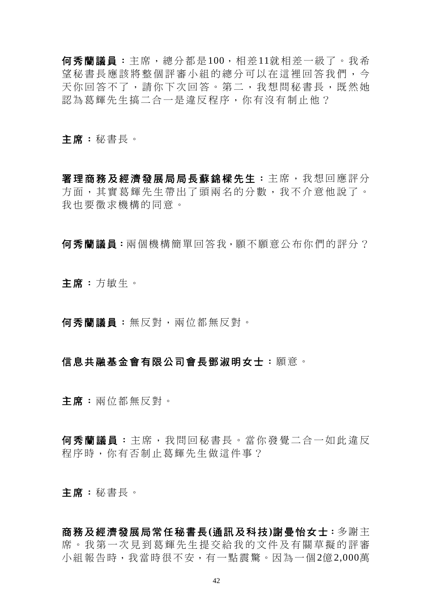何秀蘭議員:主席,總分都是100,相差11就相差一級了。我希 望秘書長應該將整個評審小組的總分可以在這裡回答我們,今 天你回答不了,請你下次回答。第二,我想問秘書長,既然她 認為葛輝先生搞二合一是違反程序,你有沒有制止他?

主席:秘書長。

署理商務及經濟發展局局長蘇錦樑先生:主席,我想回應評分 方面,其實葛輝先生帶出了頭兩名的分數,我不介意他說了。 我也要徵求機構的同意。

何秀蘭議員:兩個機構簡單回答我,願不願意公布你們的評分?

主席:方敏生。

何秀蘭議員:無反對,兩位都無反對。

#### 信息共融基金會有限公司會長鄧淑明女士:願意。

主席:兩位都無反對。

何秀蘭議員:主席,我問回秘書長。當你發覺二合一如此違反 程序時,你有否制止葛輝先生做這件事?

主席:秘書長。

商務及經濟發展局常任秘書長**(**通訊及科技**)**謝曼怡女士:多謝主 席。我第一次見到葛輝先生提交給我的文件及有關草擬的評審 小組報告時,我當時很不安,有一點震驚。因為一個2億2,000萬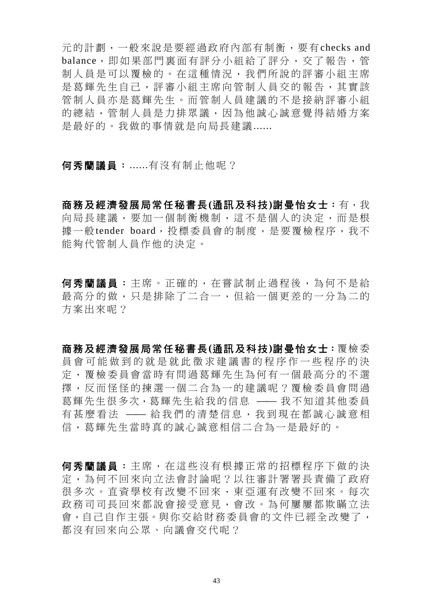元的計劃,一般來說是要經過政府內部有制衡,要有checks and balance,即如果部門裏面有評分小組給了評分,交了報告,管 制人員是可以覆檢的。在這種情況,我們所說的評審小組主席 是葛輝先生自己,評審小組主席向管制人員交的報告,其實該 管制人員亦是葛輝先生。而管制人員建議的不是接納評審小組 的總結,管制人員是力排眾議,因為他誠心誠意覺得結婚方案 是最好的。我做的事情就是向局長建議......

何秀蘭議員:......有沒有制止他呢?

商務及經濟發展局常任秘書長**(**通訊及科技**)**謝曼怡女士:有,我 向局長建議,要加一個制衡機制,這不是個人的決定,而是根 據一般tender board,投標委員會的制度,是要覆檢程序,我不 能夠代管制人員作他的決定。

何秀蘭議員:主席。正確的,在嘗試制止過程後,為何不是給 最高分的做,只是排除了二合一,但給一個更差的一分為二的 方案出來呢?

商務及經濟發展局常任秘書長**(**通訊及科技**)**謝曼怡女士:覆檢委 員會可能做到的就是就此徵求建議書的程序作一些程序的決 定,覆檢委員會當時有問過葛輝先生為何有一個最高分的不選 擇,反而怪怪的揀選一個二合為一的建議呢?覆檢委員會問過 葛輝先生很多次,葛輝先生給我的信息 —— 我不知道其他委員 有甚麼看法 —— 給我們的清楚信息,我到現在都誠心誠意相 信,葛輝先生當時真的誠心誠意相信二合為一是最好的。

何秀蘭議員:主席,在這些沒有根據正常的招標程序下做的決 定,為何不回來向立法會討論呢?以往審計署署長責備了政府 很多次。直資學校有改變不回來,東亞運有改變不回來。每次 政務司司長回來都說會接受意見,會改。為何屢屢都欺瞞立法 會,自己自作主張。與你交給財務委員會的文件已經全改變了, 都沒有回來向公眾、向議會交代呢?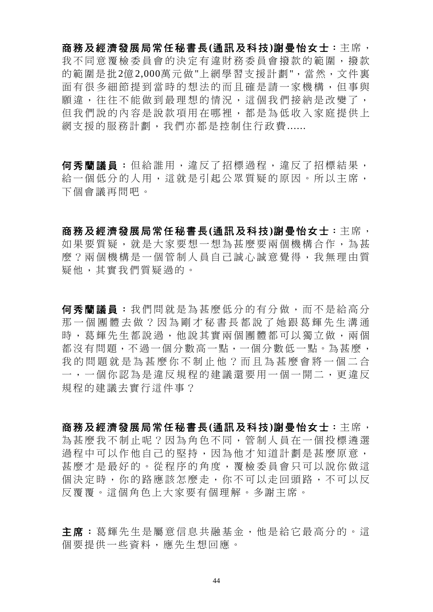商務及經濟發展局常任秘書長**(**通訊及科技**)**謝曼怡女士:主席, 我不同意覆檢委員會的決定有違財務委員會撥款的範圍,撥款 的範圍是批2億2,000萬元做"上網學習支援計劃",當然,文件裏 面有很多細節提到當時的想法的而且確是請一家機構,但事與 願違,往往不能做到最理想的情況,這個我們接納是改變了, 但我們說的內容是說款項用在哪裡,都是為低收入家庭提供上 網支援的服務計劃,我們亦都是控制住行政費......

何秀蘭議員:但給誰用,違反了招標過程,違反了招標結果, 給一個低分的人用,這就是引起公眾質疑的原因。所以主席, 下個會議再問吧。

商務及經濟發展局常任秘書長**(**通訊及科技**)**謝曼怡女士:主席, 如果要質疑,就是大家要想一想為甚麼要兩個機構合作,為甚 麼?兩個機構是一個管制人員自己誠心誠意覺得,我無理由質 疑他,其實我們質疑過的。

何秀蘭議員:我們問就是為甚麼低分的有分做,而不是給高分 那一個團體去做?因為剛才秘書長都說了她跟葛輝先生溝通 時,葛輝先生都說過,他說其實兩個團體都可以獨立做,兩個 都沒有問題,不過一個分數高一點,一個分數低一點。為甚麼, 我的問題就是為甚麼你不制止他?而且為甚麼會將一個二合 一,一個你認為是違反規程的建議還要用一個一開二,更違反 規程的建議去實行這件事?

商務及經濟發展局常任秘書長**(**通訊及科技**)**謝曼怡女士:主席, 為甚麼我不制止呢?因為角色不同,管制人員在一個投標遴選 過程中可以作他自己的堅持,因為他才知道計劃是甚麼原意, 甚麼才是最好的。從程序的角度,覆檢委員會只可以說你做這 個決定時,你的路應該怎麼走,你不可以走回頭路,不可以反 反覆覆。這個角色上大家要有個理解。多謝主席。

主席:葛輝先生是屬意信息共融基金,他是給它最高分的。這 個要提供一些資料,應先生想回應。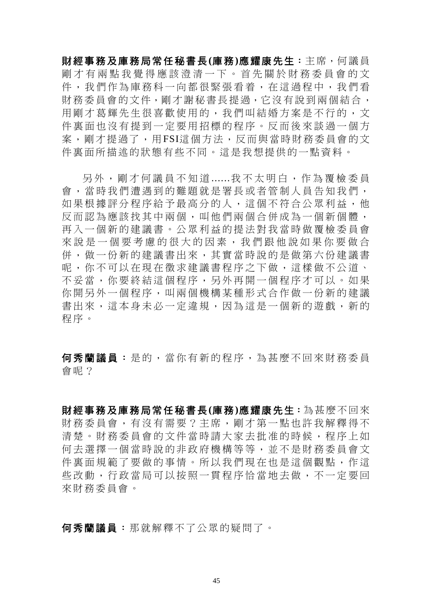財經事務及庫務局常任秘書長**(**庫務**)**應耀康先生:主席,何議員 剛才有兩點我覺得應該澄清一下。首先關於財務委員會的文 件,我們作為庫務科一向都很緊張看着,在這過程中,我們看 財務委員會的文件,剛才謝秘書長提過,它沒有說到兩個結合, 用剛才葛輝先生很喜歡使用的,我們叫結婚方案是不行的,文 件裏面也沒有提到一定要用招標的程序。反而後來談過一個方 案,剛才提過了,用FSI這個方法,反而與當時財務委員會的文 件裏面所描述的狀態有些不同。這是我想提供的一點資料。

另外,剛才何議員不知道 ......我不太明白,作為覆檢委員 會,當時我們遭遇到的難題就是署長或者管制人員告知我們, 如果根據評分程序給予最高分的人,這個不符合公眾利益,他 反而認為應該找其中兩個,叫他們兩個合併成為一個新個體, 再入一個新的建議書。公眾利益的提法對我當時做覆檢委員會 來說是一個要考慮的很大的因素,我們跟他說如果你要做合 併,做一份新的建議書出來,其實當時說的是做第六份建議書 呢,你不可以在現在徵求建議書程序之下做,這樣做不公道、 不妥當,你要終結這個程序,另外再開一個程序才可以。如果 你開另外一個程序,叫兩個機構某種形式合作做一份新的建議 書出來,這本身未必一定違規,因為這是一個新的遊戲,新的 程序。

何秀蘭議員:是的,當你有新的程序,為甚麼不回來財務委員 會呢?

財經事務及庫務局常任秘書長**(**庫務**)**應耀康先生:為甚麼不回來 財務委員會,有沒有需要?主席,剛才第一點也許我解釋得不 清楚。財務委員會的文件當時請大家去批准的時候,程序上如 何去選擇一個當時說的非政府機構等等,並不是財務委員會文 件裏面規範了要做的事情。所以我們現在也是這個觀點,作這 些改動,行政當局可以按照一貫程序恰當地去做,不一定要回 來財務委員會。

何秀蘭議員:那就解釋不了公眾的疑問了。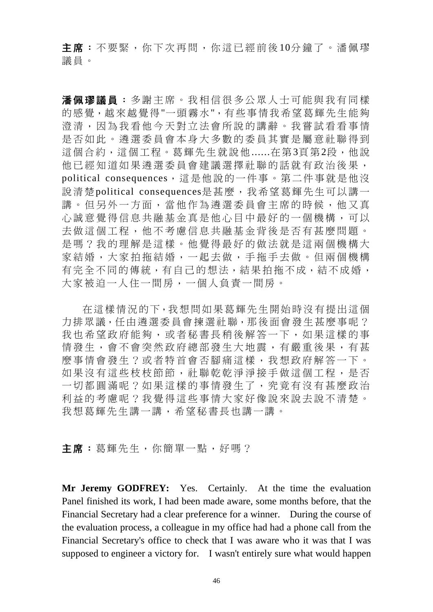主席:不要緊,你下次再問,你這已經前後10分鐘了。潘佩璆 議員。

潘佩璆議員:多謝主席。我相信很多公眾人士可能與我有同樣 的感覺,越來越覺得"一頭霧水",有些事情我希望葛輝先生能夠 澄清,因為我看他今天對立法會所說的講辭。我嘗試看看事情 是否如此。遴選委員會本身大多數的委員其實是屬意社聯得到 這個合約,這個工程。葛輝先生就說他......在第3頁第2段,他說 他已經知道如果遴選委員會建議選擇社聯的話就有政治後果, political consequences,這是他說的一件事。第二件事就是他沒 說清楚political consequences是甚麼,我希望葛輝先生可以講一 講。但另外一方面,當他作為遴選委員會主席的時候,他又真 心誠意覺得信息共融基金真是他心目中最好的一個機構,可以 去做這個工程,他不考慮信息共融基金背後是否有甚麼問題。 是嗎?我的理解是這樣。他覺得最好的做法就是這兩個機構大 家結婚,大家拍拖結婚,一起去做,手拖手去做。但兩個機構 有完全不同的傳統,有自己的想法,結果拍拖不成,結不成婚, 大家被迫一人住一間房,一個人負責一間房。

在這樣情況的下,我想問如果葛輝先生開始時沒有提出這個 力排眾議,任由遴選委員會揀選社聯,那後面會發生甚麼事呢? 我也希望政府能夠,或者秘書長稍後解答一下,如果這樣的事 情發生,會不會突然政府總部發生大地震,有嚴重後果,有甚 麼事情會發生?或者特首會否腳痛這樣,我想政府解答一下。 如果沒有這些枝枝節節, 社聯乾乾淨淨接手做這個工程, 是否 一切都圓滿呢?如果這樣的事情發生了,究竟有沒有甚麼政治 利益的考慮呢?我覺得這些事情大家好像說來說去說不清楚。 我想葛輝先生講一講,希望秘書長也講一講。

**主席:**葛輝先生,你簡單一點,好嗎?

**Mr Jeremy GODFREY:** Yes. Certainly. At the time the evaluation Panel finished its work, I had been made aware, some months before, that the Financial Secretary had a clear preference for a winner. During the course of the evaluation process, a colleague in my office had had a phone call from the Financial Secretary's office to check that I was aware who it was that I was supposed to engineer a victory for. I wasn't entirely sure what would happen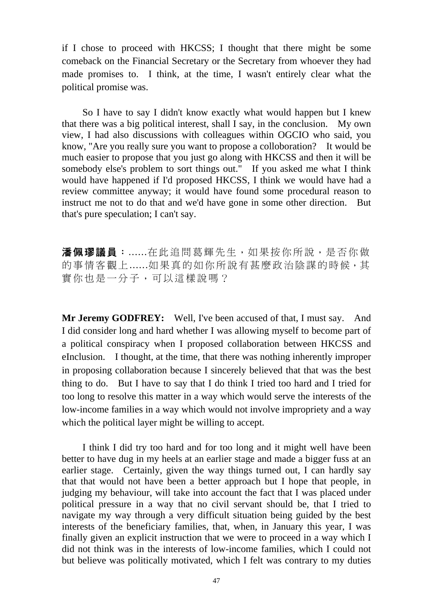if I chose to proceed with HKCSS; I thought that there might be some comeback on the Financial Secretary or the Secretary from whoever they had made promises to. I think, at the time, I wasn't entirely clear what the political promise was.

 So I have to say I didn't know exactly what would happen but I knew that there was a big political interest, shall I say, in the conclusion. My own view, I had also discussions with colleagues within OGCIO who said, you know, "Are you really sure you want to propose a colloboration? It would be much easier to propose that you just go along with HKCSS and then it will be somebody else's problem to sort things out." If you asked me what I think would have happened if I'd proposed HKCSS, I think we would have had a review committee anyway; it would have found some procedural reason to instruct me not to do that and we'd have gone in some other direction. But that's pure speculation; I can't say.

**潘佩璆議員:**......在此追問葛輝先生,如果按你所說,是否你做 的事情客觀上......如果真的如你所說有甚麼政治陰謀的時候,其 實你也是一分子,可以這樣說嗎?

**Mr Jeremy GODFREY:** Well, I've been accused of that, I must say. And I did consider long and hard whether I was allowing myself to become part of a political conspiracy when I proposed collaboration between HKCSS and eInclusion. I thought, at the time, that there was nothing inherently improper in proposing collaboration because I sincerely believed that that was the best thing to do. But I have to say that I do think I tried too hard and I tried for too long to resolve this matter in a way which would serve the interests of the low-income families in a way which would not involve impropriety and a way which the political layer might be willing to accept.

 I think I did try too hard and for too long and it might well have been better to have dug in my heels at an earlier stage and made a bigger fuss at an earlier stage. Certainly, given the way things turned out, I can hardly say that that would not have been a better approach but I hope that people, in judging my behaviour, will take into account the fact that I was placed under political pressure in a way that no civil servant should be, that I tried to navigate my way through a very difficult situation being guided by the best interests of the beneficiary families, that, when, in January this year, I was finally given an explicit instruction that we were to proceed in a way which I did not think was in the interests of low-income families, which I could not but believe was politically motivated, which I felt was contrary to my duties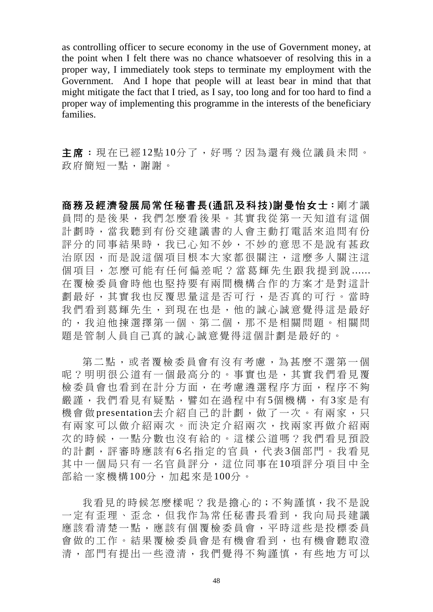as controlling officer to secure economy in the use of Government money, at the point when I felt there was no chance whatsoever of resolving this in a proper way, I immediately took steps to terminate my employment with the Government. And I hope that people will at least bear in mind that that might mitigate the fact that I tried, as I say, too long and for too hard to find a proper way of implementing this programme in the interests of the beneficiary families.

主席:現在已經12點10分了,好嗎?因為還有幾位議員未問。 政府簡短一點,謝謝。

商務及經濟發展局常任秘書長**(**通訊及科技**)**謝曼怡女士:剛才議 員問的是後果,我們怎麼看後果。其實我從第一天知道有這個 計劃時,當我聽到有份交建議書的人會主動打電話來追問有份 評分的同事結果時,我已心知不妙,不妙的意思不是說有甚政 治原因,而是說這個項目根本大家都很關注,這麼多人關注這 個項目,怎麼可能有任何偏差呢?當葛輝先生跟我提到說 ...... 在覆檢委員會時他也堅持要有兩間機構合作的方案才是對這計 劃最好,其實我也反覆思量這是否可行,是否真的可行。當時 我們看到葛輝先生,到現在也是,他的誠心誠意覺得這是最好 的,我迫他揀選擇第一個、第二個,那不是相關問題。相關問 題是管制人員自己真的誠心誠意覺得這個計劃是最好的。

第二點,或者覆檢委員會有沒有考慮,為甚麼不選第一個 呢?明明很公道有一個最高分的。事實也是,其實我們看見覆 檢委員會也看到在計分方面,在考慮遴選程序方面,程序不夠 嚴謹,我們看見有疑點,譬如在過程中有5個機構,有3家是有 機會做 presentation去介紹自己的計劃,做了一次。有兩家,只 有兩家可以做介紹兩次。而決定介紹兩次,找兩家再做介紹兩 次的時候,一點分數也沒有給的。這樣公道嗎?我們看見預設 的計劃,評審時應該有6名指定的官員,代表3個部門。我看見 其中一個局只有一名官員評分,這位同事在10項評分項目中全 部給一家機構100分,加起來是100分。

我看見的時候怎麼樣呢?我是擔心的;不夠謹慎,我不是說 一定有歪理、歪念,但我作為常任秘書長看到,我向局長建議 應該看清楚一點,應該有個覆檢委員會,平時這些是投標委員 會做的工作。結果覆檢委員會是有機會看到,也有機會聽取澄 清,部門有提出一些澄清,我們覺得不夠謹慎,有些地方可以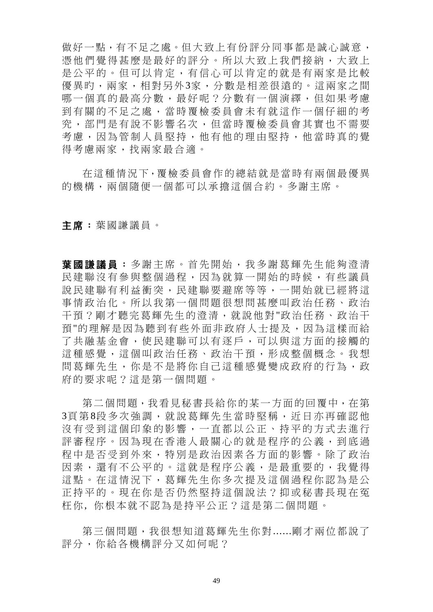做好一點,有不足之處。但大致上有份評分同事都是誠心誠意, 憑他們覺得甚麼是最好的評分。所以大致上我們接納,大致上 是公平的。但可以肯定、有信心可以肯定的就是有兩家是比較 優異旳,兩家,相對另外3家,分數是相差很遠的。這兩家之間 哪一個真的最高分數,最好呢?分數有一個演繹,但如果考慮 到有關的不足之處,當時覆檢委員會未有就這作一個仔細的考 究,部門是有說不影響名次,但當時覆檢委員會其實也不需要 考慮,因為管制人員堅持,他有他的理由堅持,他當時真的覺 得考慮兩家,找兩家最合適。

在這種情況下,覆檢委員會作的總結就是當時有兩個最優異 的機構,兩個隨便一個都可以承擔這個合約。多謝主席。

主席:葉國謙議員。

葉國謙議員:多謝主席。首先開始,我多謝葛輝先生能夠澄清 民建聯沒有參與整個過程,因為就算一開始的時候,有些議員 說民建聯有利益衝突,民建聯要避席等等,一開始就已經將這 事情政治化。所以我第一個問題很想問甚麼叫政治任務、政治 干預?剛才聽完葛輝先生的澄清,就說他對"政治任務、政治干 預"的理解是因為聽到有些外面非政府人士提及,因為這樣而給 了共融基金會,使民建聯可以有逐戶,可以與這方面的接觸的 這種感覺,這個叫政治任務、政治干預,形成整個概念。我想 問葛輝先生,你是不是將你自己這種感覺變成政府的行為,政 府的要求呢?這是第一個問題。

第二個問題,我看見秘書長給你的某一方面的回覆中,在第 3頁第 8段多次強調,就說葛輝先生當時堅稱,近日亦再確認他 沒有受到這個印象的影響,一直都以公正、持平的方式去進行 評審程序。因為現在香港人最關心的就是程序的公義,到底過 程中是否受到外來,特別是政治因素各方面的影響。除了政治 因素,還有不公平的。這就是程序公義,是最重要的,我覺得 這點。在這情況下,葛輝先生你多次提及這個過程你認為是公 正持平的。現在你是否仍然堅持這個說法?抑或秘書長現在冤 枉你, 你根本就不認為是持平公正?這是第二個問題。

第三個問題,我很想知道葛輝先生你對......剛才兩位都說了 評分,你給各機構評分又如何呢?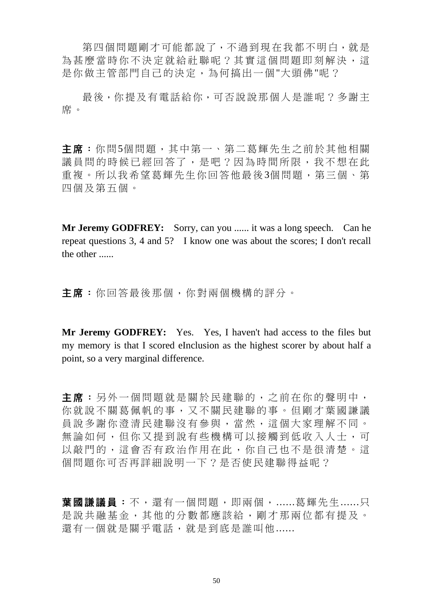第四個問題剛才可能都說了,不過到現在我都不明白,就是 為甚麼當時你不決定就給社聯呢?其實這個問題即刻解決,這 是你做主管部門自己的決定,為何搞出一個"大頭佛"呢?

最後,你提及有電話給你,可否說說那個人是誰呢?多謝主 席。

主席:你問5個問題,其中第一、第二葛輝先生之前於其他相關 議員問的時候已經回答了,是吧?因為時間所限,我不想在此 重複。所以我希望葛輝先生你回答他最後3個問題,第三個、第 四個及第五個。

**Mr Jeremy GODFREY:** Sorry, can you ...... it was a long speech. Can he repeat questions 3, 4 and 5? I know one was about the scores; I don't recall the other ......

主席:你回答最後那個,你對兩個機構的評分。

**Mr Jeremy GODFREY:** Yes. Yes, I haven't had access to the files but my memory is that I scored eInclusion as the highest scorer by about half a point, so a very marginal difference.

主席:另外一個問題就是關於民建聯的,之前在你的聲明中, 你就說不關葛佩帆的事,又不關民建聯的事。但剛才葉國謙議 員說多謝你澄清民建聯沒有參與,當然,這個大家理解不同。 無論如何,但你又提到說有些機構可以接觸到低收入人士,可 以敲門的,這會否有政治作用在此,你自己也不是很清楚。這 個問題你可否再詳細說明一下?是否使民建聯得益呢?

葉國謙議員:不,還有一個問題,即兩個,......葛輝先生......只 是說共融基金,其他的分數都應該給,剛才那兩位都有提及。 還有一個就是關乎電話,就是到底是誰叫他......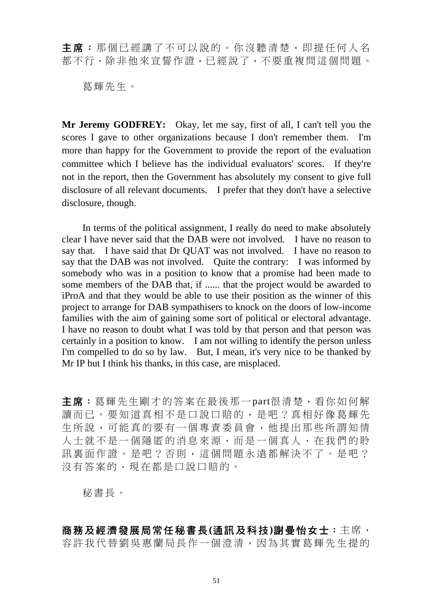主席:那個已經講了不可以說的。你沒聽清楚,即提任何人名 都不行,除非他來宣誓作證,已經說了,不要重複問這個問題。

葛輝先生。

**Mr Jeremy GODFREY:** Okay, let me say, first of all, I can't tell you the scores I gave to other organizations because I don't remember them. I'm more than happy for the Government to provide the report of the evaluation committee which I believe has the individual evaluators' scores. If they're not in the report, then the Government has absolutely my consent to give full disclosure of all relevant documents. I prefer that they don't have a selective disclosure, though.

 In terms of the political assignment, I really do need to make absolutely clear I have never said that the DAB were not involved. I have no reason to say that. I have said that Dr QUAT was not involved. I have no reason to say that the DAB was not involved. Quite the contrary: I was informed by somebody who was in a position to know that a promise had been made to some members of the DAB that, if ...... that the project would be awarded to iProA and that they would be able to use their position as the winner of this project to arrange for DAB sympathisers to knock on the doors of low-income families with the aim of gaining some sort of political or electoral advantage. I have no reason to doubt what I was told by that person and that person was certainly in a position to know. I am not willing to identify the person unless I'm compelled to do so by law. But, I mean, it's very nice to be thanked by Mr IP but I think his thanks, in this case, are misplaced.

主席:葛輝先生剛才的答案在最後那一part很清楚,看你如何解 讀而已。要知道真相不是口說口賠的,是吧?真相好像葛輝先 生所說,可能真的要有一個專責委員會,他提出那些所謂知情 人士就不是一個隱匿的消息來源,而是一個真人,在我們的聆 訊裏面作證。是吧?否則,這個問題永遠都解決不了。是吧? 沒有答案的,現在都是口說口賠的。

秘書長。

商務及經濟發展局常任秘書長**(**通訊及科技**)**謝曼怡女士:主席, 容許我代替劉吳惠蘭局長作一個澄清,因為其實葛輝先生提的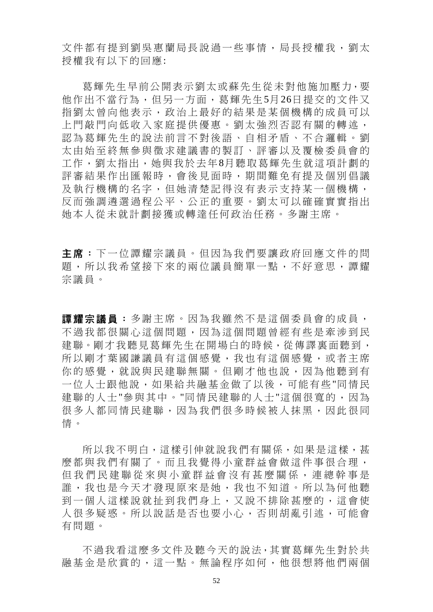文件都有提到劉吳惠蘭局長說過一些事情,局長授權我,劉太 授權我有以下的回應:

葛輝先生早前公開表示劉太或蘇先生從未對他施加壓力,要 他作出不當行為, 但另一方面, 葛輝先生5月26日提交的文件又 指劉太曾向他表示,政治上最好的結果是某個機構的成員可以 上門敲門向低收入家庭提供優惠。劉太強烈否認有關的轉述, 認為葛輝先生的說法前言不對後語、自相矛盾、不合邏輯。劉 太由始至終無參與徵求建議書的製訂、評審以及覆檢委員會的 工作,劉太指出,她與我於去年8月聽取葛輝先生就這項計劃的 評審結果作出匯報時,會後見面時,期間難免有提及個別倡議 及執行機構的名字,但她清楚記得沒有表示支持某一個機構, 反而強調遴選過程公平、公正的重要。劉太可以確確實實指出 她本人從未就計劃接獲或轉達任何政治任務。多謝主席。

主席:下一位譚耀宗議員。但因為我們要讓政府回應文件的問 題,所以我希望接下來的兩位議員簡單一點,不好意思,譚耀 宗議員。

**譚耀宗議員:**多謝主席。因為我雖然不是這個委員會的成員, 不過我都很關心這個問題,因為這個問題曾經有些是牽涉到民 建聯。剛才我聽見葛輝先生在開場白的時候,從傳譯裏面聽到, 所以剛才葉國謙議員有這個感覺,我也有這個感覺,或者主席 你的感覺,就說與民建聯無關。但剛才他也說,因為他聽到有 一位人士跟他說,如果給共融基金做了以後,可能有些"同情民 建聯的人士"參與其中。"同情民建聯的人士"這個很寬的,因為 很多人都同情民建聯,因為我們很多時候被人抹黑,因此很同 情。

所以我不明白,這樣引伸就說我們有關係,如果是這樣,甚 麼都與我們有關了。而且我覺得小童群益會做這件事很合理, 但我們民建聯從來與小童群益會沒有甚麼關係,連總幹事是 誰,我也是今天才發現原來是她,我也不知道。所以為何他聽 到一個人這樣說就扯到我們身上,又說不排除甚麼的,這會使 人很多疑惑。所以說話是否也要小心,否則胡亂引述,可能會 有問題。

不過我看這麼多文件及聽今天的說法,其實葛輝先生對於共 融基金是欣賞的,這一點。無論程序如何,他很想將他們兩個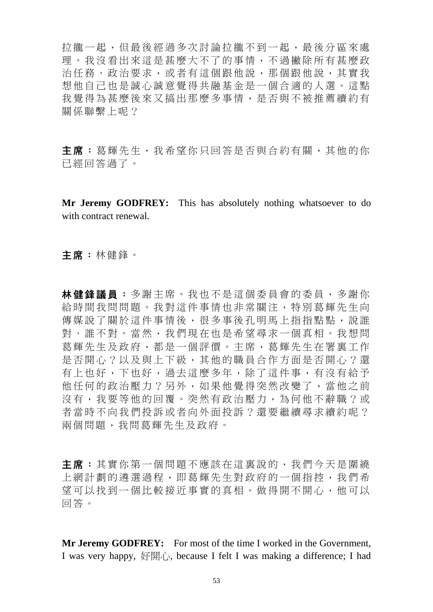拉攏一起,但最後經過多次討論拉攏不到一起,最後分區來處 理。我沒看出來這是甚麼大不了的事情,不過撇除所有甚麼政 治任務、政治要求,或者有這個跟他說,那個跟他說,其實我 想他自己也是誠心誠意覺得共融基金是一個合適的人選。這點 我覺得為甚麼後來又搞出那麼多事情,是否與不被推薦續約有 關係聯繫上呢?

主席:葛輝先生,我希望你只回答是否與合約有關,其他的你 已經回答過了。

**Mr Jeremy GODFREY:** This has absolutely nothing whatsoever to do with contract renewal.

主席:林健鋒。

林健鋒議員:多謝主席。我也不是這個委員會的委員,多謝你 給時間我問問題。我對這件事情也非常關注,特別葛輝先生向 傳媒說了關於這件事情後,很多事後孔明馬上指指點點,說誰 對、誰不對。當然,我們現在也是希望尋求一個真相。我想問 葛輝先生及政府,都是一個評價。主席,葛輝先生在署裏工作 是否開心?以及與上下級,其他的職員合作方面是否開心?還 有上也好,下也好,過去這麼多年,除了這件事,有沒有給予 他任何的政治壓力?另外,如果他覺得突然改變了,當他之前 沒有,我要等他的回覆。突然有政治壓力,為何他不辭職?或 者當時不向我們投訴或者向外面投訴?還要繼續尋求續約呢? 兩個問題,我問葛輝先生及政府。

主席:其實你第一個問題不應該在這裏說的,我們今天是圍繞 上網計劃的遴選過程,即葛輝先生對政府的一個指控,我們希 望可以找到一個比較接近事實的真相。做得開不開心,他可以 回答。

**Mr Jeremy GODFREY:** For most of the time I worked in the Government, I was very happy, 好開心, because I felt I was making a difference; I had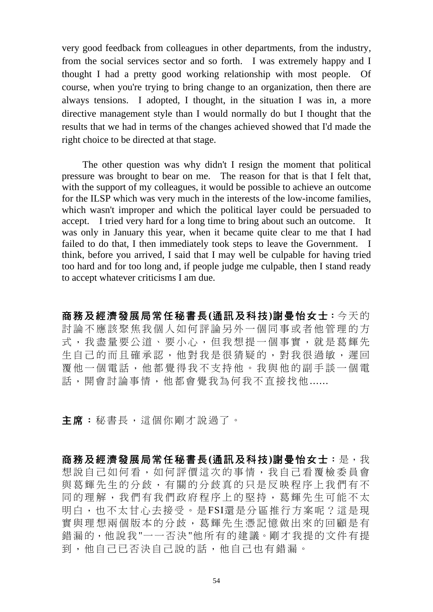very good feedback from colleagues in other departments, from the industry, from the social services sector and so forth. I was extremely happy and I thought I had a pretty good working relationship with most people. Of course, when you're trying to bring change to an organization, then there are always tensions. I adopted, I thought, in the situation I was in, a more directive management style than I would normally do but I thought that the results that we had in terms of the changes achieved showed that I'd made the right choice to be directed at that stage.

 The other question was why didn't I resign the moment that political pressure was brought to bear on me. The reason for that is that I felt that, with the support of my colleagues, it would be possible to achieve an outcome for the ILSP which was very much in the interests of the low-income families, which wasn't improper and which the political layer could be persuaded to accept. I tried very hard for a long time to bring about such an outcome. It was only in January this year, when it became quite clear to me that I had failed to do that, I then immediately took steps to leave the Government. I think, before you arrived, I said that I may well be culpable for having tried too hard and for too long and, if people judge me culpable, then I stand ready to accept whatever criticisms I am due.

商務及經濟發展局常任秘書長**(**通訊及科技**)**謝曼怡女士:今天的 討論不應該聚焦我個人如何評論另外一個同事或者他管理的方 式,我盡量要公道、要小心,但我想提一個事實,就是葛輝先 生自己的而且確承認,他對我是很猜疑的,對我很過敏,遲回 覆他一個電話,他都覺得我不支持他。我與他的副手談一個電 話,開會討論事情,他都會覺我為何我不直接找他......

主席:秘書長,這個你剛才說過了。

商務及經濟發展局常任秘書長**(**通訊及科技**)**謝曼怡女士:是,我 想說自己如何看,如何評價這次的事情,我自己看覆檢委員會 與葛輝先生的分歧,有關的分歧真的只是反映程序上我們有不 同的理解,我們有我們政府程序上的堅持,葛輝先生可能不太 明白,也不太甘心去接受。是FSI還是分區推行方案呢?這是現 實與理想兩個版本的分歧,葛輝先生憑記憶做出來的回顧是有 錯漏的,他說我"一一否決"他所有的建議。剛才我提的文件有提 到,他自己已否決自己說的話,他自己也有錯漏。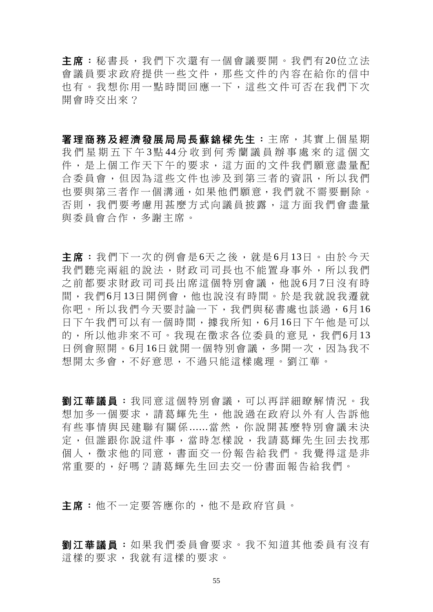主席:秘書長,我們下次還有一個會議要開。我們有 20位立法 會議員要求政府提供一些文件,那些文件的內容在給你的信中 也有。我想你用一點時間回應一下,這些文件可否在我們下次 開會時交出來?

署理商務及經濟發展局局長蘇錦樑先生:主席,其實上個星期 我們星期五下午 3點 44分收到何秀蘭議員辦事處來的這個文 件,是上個工作天下午的要求,這方面的文件我們願意盡量配 合委員會,但因為這些文件也涉及到第三者的資訊,所以我們 也要與第三者作一個溝通,如果他們願意,我們就不需要刪除。 否則,我們要考慮用甚麼方式向議員披露,這方面我們會盡量 與委員會合作,多謝主席。

主席:我們下一次的例會是6天之後,就是6月13日。由於今天 我們聽完兩組的說法,財政司司長也不能置身事外,所以我們 之前都要求財政司司長 出席這個特別會議,他說 6月 7日沒有時 間,我們6月13日開例會,他也說沒有時間。於是我就說我遷就 你吧。所以我們今天要討論一下,我們與秘書處也談過,6月16 日下午我們可以有一個時間,據我所知,6月16日下午他是可以 的,所以他非來不可。我現在徵求各位委員的意見,我們6月13 日例會照開。6月16日就開一個特別會議,多開一次,因為我不 想開太多會,不好意思,不過只能這樣處理。劉江華。

**劉江華議員:**我同意這個特別會議,可以再詳細瞭解情況。我 想加多一個要求,請葛輝先生,他說過在政府以外有人告訴他 有些事情與民建聯有關係 ......當然,你說開甚麼特別會議未決 定,但誰跟你說這件事,當時怎樣說,我請葛輝先生回去找那 個人,徵求他的同意,書面交一份報告給我們。我覺得這是非 常重要的,好嗎?請葛輝先生回去交一份書面報告給我們。

主席:他不一定要答應你的,他不是政府官員。

劉江華議員:如果我們委員會要求。我不知道其他委員有沒有 這樣的要求,我就有這樣的要求。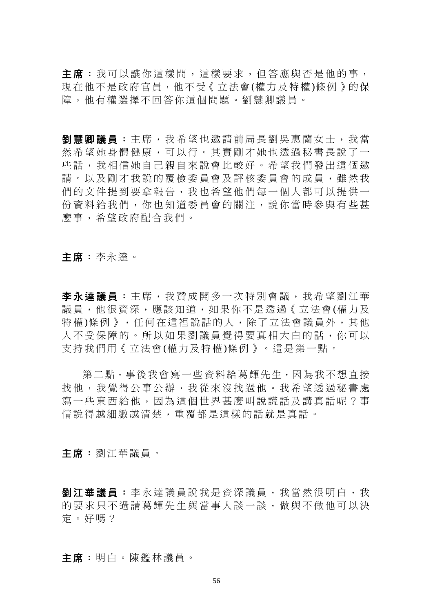主席: 我可以讓你這樣問, 這樣要求, 但答應與否是他的事, 現在他不是政府官員,他不受《立法會(權力及特權)條例》的保 障,他有權選擇不回答你這個問題。劉慧卿議員。

劉慧卿議員:主席,我希望也邀請前局長劉吳惠蘭女士,我當 然希望她身體健康,可以行。其實剛才她也透過秘書長說了一 些話,我相信她自己親自來說會比較好。希望我們發出這個邀 請。以及剛才我說的覆檢委員會及評核委員會的成員,雖然我 們的文件提到要拿報告,我也希望他們每一個人都可以提供一 份資料給我們,你也知道委員會的關注,說你當時參與有些甚 麼事,希望政府配合我們。

主席:李永達。

李永達議員:主席,我贊成開多一次特別會議,我希望劉江華 議員,他很資深,應該知道,如果你不是透過《立法會(權力及 特權)條例》,任何在這裡說話的人,除了立法會議員外,其他 人不受保障的。所以如果劉議員覺得要真相大白的話,你可以 支持我們用《立法會(權力及特權)條例》。這是第一點。

第二點,事後我會寫一些資料給葛輝先生,因為我不想直接 找他,我覺得公事公辦,我從來沒找過他。我希望透過秘書處 寫一些東西給他,因為這個世界甚麼叫說謊話及講真話呢?事 情說得越細緻越清楚,重覆都是這樣的話就是真話。

主席:劉江華議員。

**劉江華議員:** 李永達議員說我是資深議員, 我當然很明白, 我 的要求只不過請葛輝先生與當事人談一談,做與不做他可以決 定。好嗎?

主席:明白。陳鑑林議員。